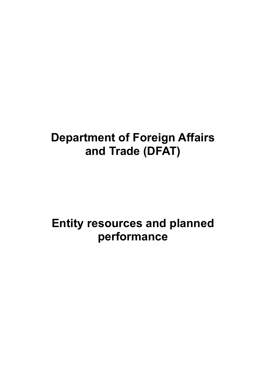# **Department of Foreign Affairs and Trade (DFAT)**

# **Entity resources and planned performance**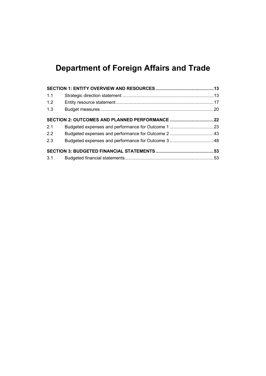# **Department of Foreign Affairs and Trade**

| 1.1 |                                                |  |
|-----|------------------------------------------------|--|
| 1.2 |                                                |  |
| 1.3 |                                                |  |
|     | SECTION 2: OUTCOMES AND PLANNED PERFORMANCE 22 |  |
| 2.1 |                                                |  |
| 2.2 |                                                |  |
| 2.3 |                                                |  |
|     |                                                |  |
|     |                                                |  |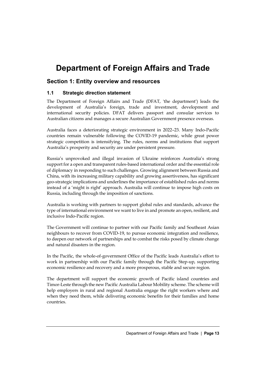# **Department of Foreign Affairs and Trade**

# <span id="page-4-0"></span>**Section 1: Entity overview and resources**

## <span id="page-4-1"></span>**1.1 Strategic direction statement**

The Department of Foreign Affairs and Trade (DFAT, 'the department') leads the development of Australia's foreign, trade and investment, development and international security policies. DFAT delivers passport and consular services to Australian citizens and manages a secure Australian Government presence overseas.

Australia faces a deteriorating strategic environment in 2022–23. Many Indo-Pacific countries remain vulnerable following the COVID-19 pandemic, while great power strategic competition is intensifying. The rules, norms and institutions that support Australia's prosperity and security are under persistent pressure.

Russia's unprovoked and illegal invasion of Ukraine reinforces Australia's strong support for a open and transparent rules-based international order and the essential role of diplomacy in responding to such challenges. Growing alignment between Russia and China, with its increasing military capability and growing assertiveness, has significant geo-strategic implications and underlines the importance of established rules and norms instead of a 'might is right' approach. Australia will continue to impose high costs on Russia, including through the imposition of sanctions.

Australia is working with partners to support global rules and standards, advance the type of international environment we want to live in and promote an open, resilient, and inclusive Indo-Pacific region.

The Government will continue to partner with our Pacific family and Southeast Asian neighbours to recover from COVID-19, to pursue economic integration and resilience, to deepen our network of partnerships and to combat the risks posed by climate change and natural disasters in the region.

In the Pacific, the whole-of-government Office of the Pacific leads Australia's effort to work in partnership with our Pacific family through the Pacific Step-up, supporting economic resilience and recovery and a more prosperous, stable and secure region.

The department will support the economic growth of Pacific island countries and Timor-Leste through the new Pacific Australia Labour Mobility scheme. The scheme will help employers in rural and regional Australia engage the right workers where and when they need them, while delivering economic benefits for their families and home countries.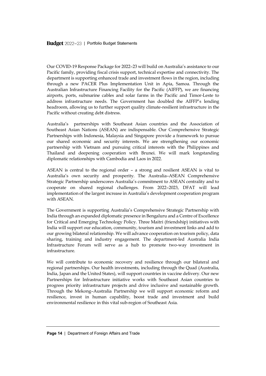Our COVID-19 Response Package for 2022–23 will build on Australia's assistance to our Pacific family, providing fiscal crisis support, technical expertise and connectivity. The department is supporting enhanced trade and investment flows in the region, including through a new PACER Plus Implementation Unit in Apia, Samoa. Through the Australian Infrastructure Financing Facility for the Pacific (AIFFP), we are financing airports, ports, submarine cables and solar farms in the Pacific and Timor-Leste to address infrastructure needs. The Government has doubled the AIFFP's lending headroom, allowing us to further support quality climate-resilient infrastructure in the Pacific without creating debt distress.

Australia's partnerships with Southeast Asian countries and the Association of Southeast Asian Nations (ASEAN) are indispensable. Our Comprehensive Strategic Partnerships with Indonesia, Malaysia and Singapore provide a framework to pursue our shared economic and security interests. We are strengthening our economic partnership with Vietnam and pursuing critical interests with the Philippines and Thailand and deepening cooperation with Brunei. We will mark longstanding diplomatic relationships with Cambodia and Laos in 2022.

ASEAN is central to the regional order – a strong and resilient ASEAN is vital to Australia's own security and prosperity. The Australia–ASEAN Comprehensive Strategic Partnership underscores Australia's commitment to ASEAN centrality and to cooperate on shared regional challenges. From 2022–2023, DFAT will lead implementation of the largest increase in Australia's development cooperation program with ASEAN.

The Government is supporting Australia's Comprehensive Strategic Partnership with India through an expanded diplomatic presence in Bengaluru and a Centre of Excellence for Critical and Emerging Technology Policy. Three Maitri (friendship) initiatives with India will support our education, community, tourism and investment links and add to our growing bilateral relationship. We will advance cooperation on tourism policy, data sharing, training and industry engagement. The department-led Australia India Infrastructure Forum will serve as a hub to promote two-way investment in infrastructure.

We will contribute to economic recovery and resilience through our bilateral and regional partnerships. Our health investments, including through the Quad (Australia, India, Japan and the United States), will support countries in vaccine delivery. Our new Partnerships for Infrastructure initiative works with Southeast Asian countries to progress priority infrastructure projects and drive inclusive and sustainable growth. Through the Mekong–Australia Partnership we will support economic reform and resilience, invest in human capability, boost trade and investment and build environmental resilience in this vital sub-region of Southeast Asia.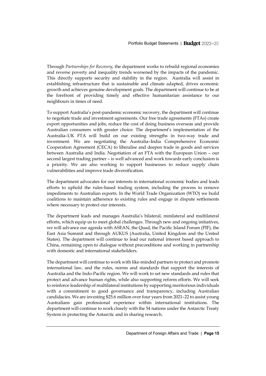Through *Partnerships for Recovery*, the department works to rebuild regional economies and reverse poverty and inequality trends worsened by the impacts of the pandemic. This directly supports security and stability in the region. Australia will assist in establishing infrastructure that is sustainable and climate adapted, drives economic growth and achieves genuine development goals. The department will continue to be at the forefront of providing timely and effective humanitarian assistance to our neighbours in times of need.

To support Australia's post-pandemic economic recovery, the department will continue to negotiate trade and investment agreements. Our free trade agreements (FTAs) create export opportunities and jobs, reduce the cost of doing business overseas and provide Australian consumers with greater choice. The department's implementation of the Australia–UK FTA will build on our existing strengths in two-way trade and investment. We are negotiating the Australia–India Comprehensive Economic Cooperation Agreement (CECA) to liberalise and deepen trade in goods and services between Australia and India. Negotiation of an FTA with the European Union – our second largest trading partner – is well advanced and work towards early conclusion is a priority. We are also working to support businesses to reduce supply chain vulnerabilities and improve trade diversification.

The department advocates for our interests in international economic bodies and leads efforts to uphold the rules-based trading system, including the process to remove impediments to Australian exports. In the World Trade Organization (WTO) we build coalitions to maintain adherence to existing rules and engage in dispute settlements where necessary to protect our interests.

The department leads and manages Australia's bilateral, minilateral and multilateral efforts, which equip us to meet global challenges. Through new and ongoing initiatives, we will advance our agenda with ASEAN, the Quad, the Pacific Island Forum (PIF), the East Asia Summit and through AUKUS (Australia, United Kingdom and the United States). The department will continue to lead our national interest based approach to China, remaining open to dialogue without preconditions and working in partnership with domestic and international stakeholders.

The department will continue to work with like-minded partners to protect and promote international law, and the rules, norms and standards that support the interests of Australia and the Indo-Pacific region. We will work to set new standards and rules that protect and advance human rights, while also supporting reform efforts. We will seek to reinforce leadership of multilateral institutions by supporting meritorious individuals with a commitment to good governance and transparency, including Australian candidacies. We are investing \$25.6 million over four years from 2021–22 to assist young Australians gain professional experience within international institutions. The department will continue to work closely with the 54 nations under the Antarctic Treaty System in protecting the Antarctic and in sharing research.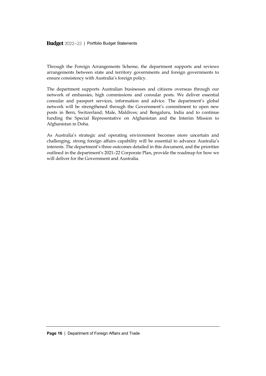Budget 2022-23 | Portfolio Budget Statements

Through the Foreign Arrangements Scheme, the department supports and reviews arrangements between state and territory governments and foreign governments to ensure consistency with Australia's foreign policy.

The department supports Australian businesses and citizens overseas through our network of embassies, high commissions and consular posts. We deliver essential consular and passport services, information and advice. The department's global network will be strengthened through the Government's commitment to open new posts in Bern, Switzerland; Male, Maldives; and Bengaluru, India and to continue funding the Special Representative on Afghanistan and the Interim Mission to Afghanistan in Doha.

As Australia's strategic and operating environment becomes more uncertain and challenging, strong foreign affairs capability will be essential to advance Australia's interests. The department's three outcomes detailed in this document, and the priorities outlined in the department's 2021–22 Corporate Plan, provide the roadmap for how we will deliver for the Government and Australia.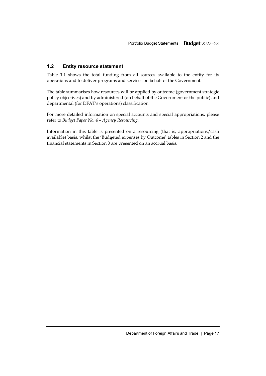# <span id="page-8-0"></span>**1.2 Entity resource statement**

Table 1.1 shows the total funding from all sources available to the entity for its operations and to deliver programs and services on behalf of the Government.

The table summarises how resources will be applied by outcome (government strategic policy objectives) and by administered (on behalf of the Government or the public) and departmental (for DFAT's operations) classification.

For more detailed information on special accounts and special appropriations, please refer to *Budget Paper No. 4 – Agency Resourcing*.

Information in this table is presented on a resourcing (that is, appropriations/cash available) basis, whilst the 'Budgeted expenses by Outcome' tables in Section 2 and the financial statements in Section 3 are presented on an accrual basis.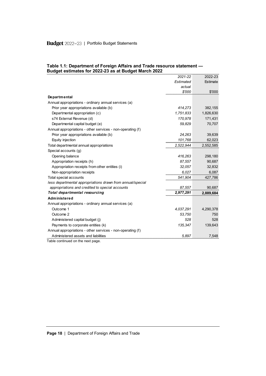# Budget 2022-23 | Portfolio Budget Statements

|                                                            | 2021-22   | 2022-23   |
|------------------------------------------------------------|-----------|-----------|
|                                                            | Estimated | Estimate  |
|                                                            | actual    |           |
|                                                            | \$'000    | \$'000    |
| <b>Departmental</b>                                        |           |           |
| Annual appropriations - ordinary annual services (a)       |           |           |
| Prior year appropriations available (b)                    | 414,273   | 382,155   |
| Departmental appropriation (c)                             | 1,751,833 | 1,826,630 |
| s74 External Revenue (d)                                   | 170,978   | 171,431   |
| Departmental capital budget (e)                            | 59,829    | 70,707    |
| Annual appropriations - other services - non-operating (f) |           |           |
| Prior year appropriations available (b)                    | 24,263    | 39,639    |
| Equity injection                                           | 101,768   | 62,023    |
| Total departmental annual appropriations                   | 2,522,944 | 2,552,585 |
| Special accounts (g)                                       |           |           |
| Opening balance                                            | 416,263   | 298,180   |
| Appropriation receipts (h)                                 | 87,557    | 90,687    |
| Appropriation receipts from other entities (i)             | 32,057    | 32,832    |
| Non-appropriation receipts                                 | 6.027     | 6,087     |
| Total special accounts                                     | 541,904   | 427,786   |
| less departmental appropriations drawn from annual/special |           |           |
| appropriations and credited to special accounts            | 87,557    | 90,687    |
| Total departmental resourcing                              | 2,977,291 | 2,889,684 |
| Administered                                               |           |           |
| Annual appropriations - ordinary annual services (a)       |           |           |
| Outcome 1                                                  | 4.037.291 | 4,290,378 |
| Outcome 2                                                  | 53,750    | 750       |
| Administered capital budget (j)                            | 528       | 528       |
| Payments to corporate entities (k)                         | 135,347   | 139,643   |
| Annual appropriations - other services - non-operating (f) |           |           |
| Administered assets and liabilities                        | 5,897     | 7,548     |

#### **Table 1.1: Department of Foreign Affairs and Trade resource statement — Budget estimates for 2022-23 as at Budget March 2022**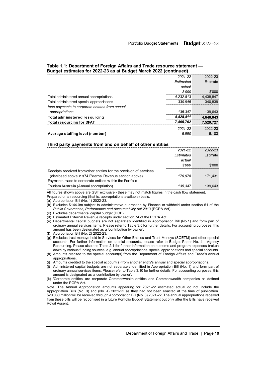#### **Table 1.1: Department of Foreign Affairs and Trade resource statement — Budget estimates for 2022-23 as at Budget March 2022 (continued)**

|                                                 | 2021-22   | 2022-23   |
|-------------------------------------------------|-----------|-----------|
|                                                 | Estimated | Estimate  |
|                                                 | actual    |           |
|                                                 | \$'000    | \$'000    |
| Total administered annual appropriations        | 4.232.813 | 4,438,847 |
| Total administered special appropriations       | 330.945   | 340.839   |
| less payments to corporate entities from annual |           |           |
| appropriations                                  | 135.347   | 139.643   |
| Total administered resourcing                   | 4.428.411 | 4.640.043 |
| <b>Total resourcing for DFAT</b>                | 7,405,702 | 7.529.727 |
|                                                 | 2021-22   | 2022-23   |
| Average staffing level (number)                 | 5.990     | 6.103     |

#### **Third party payments from and on behalf of other entities**

| 2021-22                                                             | 2022-23  |
|---------------------------------------------------------------------|----------|
| Estimated                                                           | Estimate |
| actual                                                              |          |
| \$'000                                                              | \$'000   |
| Receipts received from other entities for the provision of services |          |
| (disclosed above in s74 External Revenue section above)<br>170.978  | 171.431  |
| Payments made to corporate entities within the Portfolio            |          |
| Tourism Australia (Annual appropriation)<br>135.347                 | 139.643  |

All figures shown above are GST exclusive - these may not match figures in the cash flow statement.

Prepared on a resourcing (that is, appropriations available) basis.

- (a) Appropriation Bill (No. 1) 2022-23.
- (b) Excludes \$144.0m subject to administrative quarantine by Finance or withheld under section 51 of the *Public Governance, Performance and Accountability Act 2013* (PGPA Act).
- (c) Excludes departmental capital budget (DCB).
- (d) Estimated External Revenue receipts under section 74 of the PGPA Act.
- (e) Departmental capital budgets are not separately identified in Appropriation Bill (No.1) and form part of ordinary annual services items. Please refer to Table 3.5 for further details. For accounting purposes, this amount has been designated as a 'contribution by owner'.
- (f) Appropriation Bill (No. 2) 2022-23.
- (g) Excludes trust moneys held in Services for Other Entities and Trust Moneys (SOETM) and other special accounts. For further information on special accounts, please refer to Budget Paper No. 4 - Agency Resourcing. Please also see Table 2.1 for further information on outcome and program expenses broken down by various funding sources, e.g. annual appropriations, special appropriations and special accounts.
- (h) Amounts credited to the special account(s) from the Department of Foreign Affairs and Trade's annual appropriations.
- (i) Amounts credited to the special account(s) from another entity's annual and special appropriations.
- (j) Administered capital budgets are not separately identified in Appropriation Bill (No. 1) and form part of ordinary annual services items. Please refer to Table 3.10 for further details. For accounting purposes, this amount is designated as a 'contribution by owner'.
- (k) 'Corporate entities' are corporate Commonwealth entities and Commonwealth companies as defined under the PGPA Act.

Note: The Annual Appropriation amounts appearing for 2021-22 estimated actual do not include the Appropriation Bills (No. 3) and (No. 4) 2021-22 as they had not been enacted at the time of publication. \$20.030 million will be received through Appropriation Bill (No. 3) 2021-22. The annual appropriations received from these bills will be recognised in a future Portfolio Budget Statement but only after the Bills have received Royal Assent.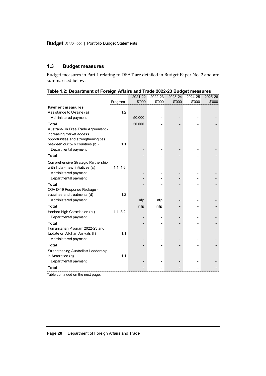# <span id="page-11-0"></span>**1.3 Budget measures**

Budget measures in Part 1 relating to DFAT are detailed in Budget Paper No. 2 and are summarised below.

|                                      |          | 2021-22 | 2022-23 | 2023-24 | 2024-25 | 2025-26 |
|--------------------------------------|----------|---------|---------|---------|---------|---------|
|                                      | Program  | \$'000  | \$'000  | \$'000  | \$'000  | \$'000  |
| <b>Payment measures</b>              |          |         |         |         |         |         |
| Assistance to Ukraine (a)            | 1.2      |         |         |         |         |         |
| Administered payment                 |          | 50,000  |         |         |         |         |
| <b>Total</b>                         |          | 50,000  |         |         |         |         |
| Australia-UK Free Trade Agreement -  |          |         |         |         |         |         |
| increasing market access             |          |         |         |         |         |         |
| opportunities and strengthening ties |          |         |         |         |         |         |
| betw een our two countries (b)       | 1.1      |         |         |         |         |         |
| Departmental payment                 |          |         |         |         |         |         |
| <b>Total</b>                         |          |         |         |         |         |         |
| Comprehensive Strategic Partnership  |          |         |         |         |         |         |
| with India - new initiatives (c)     | 1.1, 1.6 |         |         |         |         |         |
| Administered payment                 |          |         |         |         |         |         |
| Departmental payment                 |          |         |         |         |         |         |
| Total                                |          |         |         |         |         |         |
| COVID-19 Response Package -          |          |         |         |         |         |         |
| vaccines and treatments (d)          | 1.2      |         |         |         |         |         |
| Administered payment                 |          | nfp     | nfp     |         |         |         |
| Total                                |          | nfp     | nfp     |         |         |         |
| Honiara High Commission (e)          | 1.1, 3.2 |         |         |         |         |         |
| Departmental payment                 |          |         |         |         |         |         |
| <b>Total</b>                         |          |         |         |         |         |         |
| Humanitarian Program 2022-23 and     |          |         |         |         |         |         |
| Update on Afghan Arrivals (f)        | 1.1      |         |         |         |         |         |
| Administered payment                 |          |         |         |         |         |         |
| <b>Total</b>                         |          |         |         |         |         |         |
| Strengthening Australia's Leadership |          |         |         |         |         |         |
| in Antarctica (g)                    | 1.1      |         |         |         |         |         |
| Departmental payment                 |          |         |         |         |         |         |
| <b>Total</b>                         |          |         |         |         |         |         |

|  | Table 1.2: Department of Foreign Affairs and Trade 2022-23 Budget measures |  |  |
|--|----------------------------------------------------------------------------|--|--|
|  |                                                                            |  |  |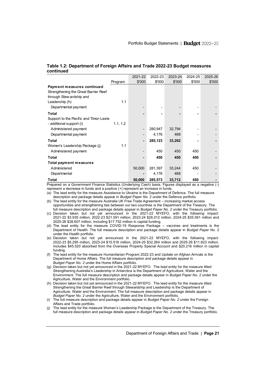#### **Table 1.2: Department of Foreign Affairs and Trade 2022-23 Budget measures continued**

|                                        |          | 2021-22 | 2022-23 | 2023-24 | 2024-25 | 2025-26 |
|----------------------------------------|----------|---------|---------|---------|---------|---------|
|                                        | Program  | \$'000  | \$'000  | \$'000  | \$'000  | \$'000  |
| Payment measures continued             |          |         |         |         |         |         |
| Strengthening the Great Barrier Reef   |          |         |         |         |         |         |
| through Stew ardship and               |          |         |         |         |         |         |
| Leadership (h)                         | 1.1      |         |         |         |         |         |
| Departmental payment                   |          |         |         |         |         |         |
| Total                                  |          |         |         |         |         |         |
| Support to the Pacific and Timor-Leste |          |         |         |         |         |         |
| - additional support (i)               | 1.1, 1.2 |         |         |         |         |         |
| Administered payment                   |          | -       | 280,947 | 32,794  |         |         |
| Departmental payment                   |          | -       | 4,176   | 468     |         |         |
| Total                                  |          |         | 285,123 | 33,262  |         |         |
| Women's Leadership Package (i)         | 1.1      |         |         |         |         |         |
| Administered payment                   |          | -       | 450     | 450     | 450     |         |
| Total                                  |          |         | 450     | 450     | 450     |         |
| Total payment measures                 |          |         |         |         |         |         |
| Administered                           |          | 50,000  | 281,397 | 33,244  | 450     |         |
| Departmental                           |          |         | 4,176   | 468     |         |         |
| Total                                  |          | 50,000  | 285,573 | 33,712  | 450     |         |

Prepared on a Government Finance Statistics (Underlying Cash) basis. Figures displayed as a negative (-) represent a decrease in funds and a positive (+) represent an increase in funds.

(a) The lead entity for the measure Assistance to Ukraine is the Department of Defence. The full measure description and package details appear in *Budget Paper No. 2* under the Defence portfolio.

(b) The lead entity for the measure Australia UK Free Trade Agreement – increasing market access opportunities and strengthening ties between our two countries is the Department of the Treasury. The full measure description and package details appear in *Budget Paper No. 2* under the Treasury portfolio.

- (c) Decision taken but not yet announced in the 2021-22 MYEFO, with the following impact: 2021-22 \$3.935 million; 2022-23 \$21.591 million, 2023-24 \$26.012 million, 2024-25 \$35.591 million and 2025-26 \$28.607 million. Including \$17.752 million in capital funding.
- (d) The lead entity for the measure COVID-19 Response Package vaccines and treatments is the Department of Health. The full measure description and package details appear in *Budget Paper No. 2* under the Health portfolio.
- (e) Decision taken but not yet announced in the 2021-22 MYEFO, with the following impact: 2022-23 \$5.295 million, 2023-24 \$15.516 million, 2024-25 \$32.264 million and 2025-26 \$11.823 million. Includes \$45.520 absorbed from the Overseas Property Special Account and \$20.216 million in capital funding.
- (f) The lead entity for the measure Humanitarian Program 2022-23 and Update on Afghan Arrivals is the Department of Home Affairs. The full measure description and package details appear in *Budget Paper No. 2* under the Home Affairs portfolio.
- (g) Decision taken but not yet announced in the 2021-22 MYEFO. The lead entity for the measure titled Strengthening Australia's Leadership in Antarctica is the Department of Agriculture, Water and the Environment. The full measure description and package details appear in *Budget Paper No. 2* under the Agriculture, Water and the Environment portfolio.
- (h) Decision taken but not yet announced in the 2021-22 MYEFO. The lead entity for the measure titled Strengthening the Great Barrier Reef through Stewardship and Leadership is the Department of Agriculture, Water and the Environment. The full measure description and package details appear in *Budget Paper No. 2* under the Agriculture, Water and the Environment portfolio.
- (i) The full measure description and package details appear in *Budget Paper No. 2* under the Foreign Affairs and Trade portfolio.
- The lead entity for the measure Women's Leadership Package is the Department of the Treasury. The full measure description and package details appear in *Budget Paper No. 2* under the Treasury portfolio.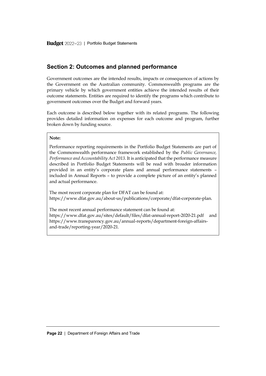# <span id="page-13-0"></span>**Section 2: Outcomes and planned performance**

Government outcomes are the intended results, impacts or consequences of actions by the Government on the Australian community. Commonwealth programs are the primary vehicle by which government entities achieve the intended results of their outcome statements. Entities are required to identify the programs which contribute to government outcomes over the Budget and forward years.

Each outcome is described below together with its related programs. The following provides detailed information on expenses for each outcome and program, further broken down by funding source.

#### **Note:**

Performance reporting requirements in the Portfolio Budget Statements are part of the Commonwealth performance framework established by the *Public Governance, Performance and Accountability Act 2013*. It is anticipated that the performance measure described in Portfolio Budget Statements will be read with broader information provided in an entity's corporate plans and annual performance statements – included in Annual Reports – to provide a complete picture of an entity's planned and actual performance.

The most recent corporate plan for DFAT can be found at: [https://www.dfat.gov.au/about-us/publications/corporate/dfat-corporate-plan.](https://www.dfat.gov.au/about-us/publications/corporate/dfat-corporate-plan)

The most recent annual performance statement can be found at: <https://www.dfat.gov.au/sites/default/files/dfat-annual-report-2020-21.pdf> and [https://www.transparency.gov.au/annual-reports/department-foreign-affairs](https://www.transparency.gov.au/annual-reports/department-foreign-affairs-and-trade/reporting-year/2020-21)[and-trade/reporting-year/2020-21.](https://www.transparency.gov.au/annual-reports/department-foreign-affairs-and-trade/reporting-year/2020-21)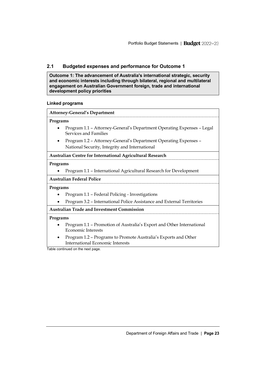# <span id="page-14-0"></span>**2.1 Budgeted expenses and performance for Outcome 1**

**Outcome 1: The advancement of Australia's international strategic, security and economic interests including through bilateral, regional and multilateral engagement on Australian Government foreign, trade and international development policy priorities**

### **Linked programs**

|           | <b>Attorney-General's Department</b>                                                            |
|-----------|-------------------------------------------------------------------------------------------------|
| Programs  |                                                                                                 |
|           | Program 1.1 - Attorney-General's Department Operating Expenses - Legal<br>Services and Families |
| $\bullet$ | Program 1.2 - Attorney-General's Department Operating Expenses -                                |
|           | National Security, Integrity and International                                                  |
|           | Australian Centre for International Agricultural Research                                       |
| Programs  |                                                                                                 |
|           | Program 1.1 - International Agricultural Research for Development                               |
|           | <b>Australian Federal Police</b>                                                                |
| Programs  |                                                                                                 |
|           | Program 1.1 - Federal Policing - Investigations                                                 |
|           | Program 3.2 - International Police Assistance and External Territories                          |
|           | Australian Trade and Investment Commission                                                      |
| Programs  |                                                                                                 |
|           | Program 1.1 – Promotion of Australia's Export and Other International<br>Economic Interests     |

• Program 1.2 – Programs to Promote Australia's Exports and Other International Economic Interests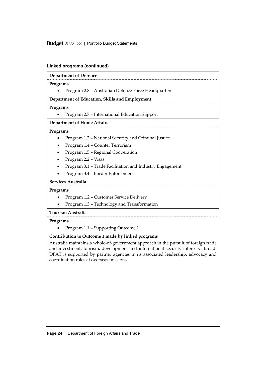Budget 2022-23 | Portfolio Budget Statements

| <b>Department of Defence</b>                                                                                                                                                                                                                                                                            |
|---------------------------------------------------------------------------------------------------------------------------------------------------------------------------------------------------------------------------------------------------------------------------------------------------------|
| Programs                                                                                                                                                                                                                                                                                                |
| Program 2.8 - Australian Defence Force Headquarters                                                                                                                                                                                                                                                     |
| Department of Education, Skills and Employment                                                                                                                                                                                                                                                          |
| Programs                                                                                                                                                                                                                                                                                                |
| Program 2.7 - International Education Support                                                                                                                                                                                                                                                           |
| <b>Department of Home Affairs</b>                                                                                                                                                                                                                                                                       |
| Programs                                                                                                                                                                                                                                                                                                |
| Program 1.2 - National Security and Criminal Justice                                                                                                                                                                                                                                                    |
| Program 1.4 - Counter Terrorism                                                                                                                                                                                                                                                                         |
| Program 1.5 - Regional Cooperation                                                                                                                                                                                                                                                                      |
| Program 2.2 - Visas                                                                                                                                                                                                                                                                                     |
| Program 3.1 - Trade Facilitation and Industry Engagement                                                                                                                                                                                                                                                |
| Program 3.4 - Border Enforcement                                                                                                                                                                                                                                                                        |
| Services Australia                                                                                                                                                                                                                                                                                      |
| Programs                                                                                                                                                                                                                                                                                                |
| Program 1.2 - Customer Service Delivery                                                                                                                                                                                                                                                                 |
| Program 1.3 - Technology and Transformation                                                                                                                                                                                                                                                             |
| <b>Tourism Australia</b>                                                                                                                                                                                                                                                                                |
| Programs                                                                                                                                                                                                                                                                                                |
| Program 1.1 - Supporting Outcome 1                                                                                                                                                                                                                                                                      |
| Contribution to Outcome 1 made by linked programs                                                                                                                                                                                                                                                       |
| Australia maintains a whole-of-government approach in the pursuit of foreign trade<br>and investment, tourism, development and international security interests abroad.<br>DFAT is supported by partner agencies in its associated leadership, advocacy and<br>coordination roles at overseas missions. |

# **Linked programs (continued)**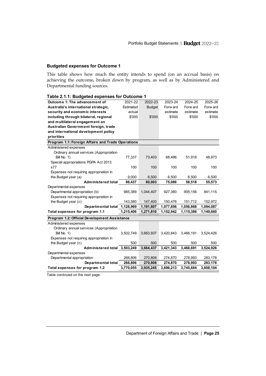### **Budgeted expenses for Outcome 1**

This table shows how much the entity intends to spend (on an accrual basis) on achieving the outcome, broken down by program, as well as by Administered and Departmental funding sources.

| Table 2.1.1: Budgeted expenses for Outcome 1      |           |               |           |           |           |
|---------------------------------------------------|-----------|---------------|-----------|-----------|-----------|
| Outcome 1: The advancement of                     | 2021-22   | 2022-23       | 2023-24   | 2024-25   | 2025-26   |
| Australia's international strategic,              | Estimated | <b>Budget</b> | Forw ard  | Forw ard  | Forw ard  |
| security and economic interests                   | actual    |               | estimate  | estimate  | estimate  |
| including through bilateral, regional             | \$'000    | \$'000        | \$'000    | \$'000    | \$'000    |
| and multilateral engagement on                    |           |               |           |           |           |
| Australian Government foreign, trade              |           |               |           |           |           |
| and international development policy              |           |               |           |           |           |
| priorities                                        |           |               |           |           |           |
| Program 1.1: Foreign Affairs and Trade Operations |           |               |           |           |           |
| Administered expenses                             |           |               |           |           |           |
| Ordinary annual services (Appropriation           |           |               |           |           |           |
| Bill No. 1)                                       | 77,337    | 73,403        | 68,486    | 51,918    | 48,973    |
| Special appropriations PGPA Act 2013              |           |               |           |           |           |
| s77                                               | 100       | 100           | 100       | 100       | 100       |
| Expenses not requiring appropriation in           |           |               |           |           |           |
| the Budget year (a)                               | 9,000     | 6,500         | 6,500     | 6,500     | 6,500     |
| Administered total                                | 86,437    | 80,003        | 75,086    | 58,518    | 55,573    |
| Departmental expenses                             |           |               |           |           |           |
| Departmental appropriation (b)                    | 985,389   | 1,044,407     | 927,380   | 905,156   | 941,115   |
| Expenses not requiring appropriation in           |           |               |           |           |           |
| the Budget year (c)                               | 143,580   | 147,400       | 150,476   | 151,712   | 152,972   |
| Departmental total                                | 1,128,969 | 1,191,807     | 1,077,856 | 1,056,868 | 1,094,087 |
| Total expenses for program 1.1                    | 1,215,406 | 1,271,810     | 1,152,942 | 1,115,386 | 1,149,660 |
| Program 1.2: Official Development Assistance      |           |               |           |           |           |
| Administered expenses                             |           |               |           |           |           |
| Ordinary annual services (Appropriation           |           |               |           |           |           |
| Bill No. 1)                                       | 3,502,749 | 3,663,937     | 3,420,843 | 3,466,191 | 3,524,426 |
| Expenses not requiring appropriation in           |           |               |           |           |           |
| the Budget year (c)                               | 500       | 500           | 500       | 500       | 500       |
| Administered total 3,503,249                      |           | 3,664,437     | 3,421,343 | 3,466,691 | 3,524,926 |
| Departmental expenses                             |           |               |           |           |           |
| Departmental appropriation                        | 266,806   | 270,808       | 274,870   | 278,993   | 283,178   |
| Departmental total                                | 266,806   | 270,808       | 274,870   | 278,993   | 283,178   |
| Total expenses for program 1.2                    | 3,770,055 | 3,935,245     | 3,696,213 | 3,745,684 | 3,808,104 |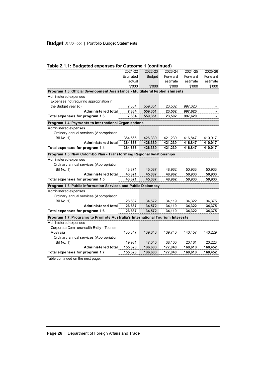# Budget 2022-23 | Portfolio Budget Statements

|                                                                              | Table 2.1.1: Budgeted expenses for Outcome 1 (continued) |               |          |          |          |  |  |
|------------------------------------------------------------------------------|----------------------------------------------------------|---------------|----------|----------|----------|--|--|
|                                                                              | 2021-22                                                  | 2022-23       | 2023-24  | 2024-25  | 2025-26  |  |  |
|                                                                              | Estimated                                                | <b>Budget</b> | Forw ard | Forw ard | Forw ard |  |  |
|                                                                              | actual                                                   |               | estimate | estimate | estimate |  |  |
|                                                                              | \$'000                                                   | \$'000        | \$'000   | \$'000   | \$'000   |  |  |
| Program 1.3: Official Development Assistance - Multilateral Replenishments   |                                                          |               |          |          |          |  |  |
| Administered expenses                                                        |                                                          |               |          |          |          |  |  |
| Expenses not requiring appropriation in                                      |                                                          |               |          |          |          |  |  |
| the Budget year (d)                                                          | 7,834                                                    | 559,351       | 23,502   | 997,620  |          |  |  |
| Administered total                                                           | 7,834                                                    | 559,351       | 23,502   | 997,620  |          |  |  |
| Total expenses for program 1.3                                               | 7,834                                                    | 559,351       | 23,502   | 997,620  |          |  |  |
| Program 1.4: Payments to International Organisations                         |                                                          |               |          |          |          |  |  |
| Administered expenses                                                        |                                                          |               |          |          |          |  |  |
| Ordinary annual services (Appropriation                                      |                                                          |               |          |          |          |  |  |
| Bill No. 1)                                                                  | 364,666                                                  | 426,339       | 421,239  | 416,847  | 410,017  |  |  |
| Administered total                                                           | 364,666                                                  | 426,339       | 421,239  | 416,847  | 410,017  |  |  |
| Total expenses for program 1.4                                               | 364,666                                                  | 426,339       | 421,239  | 416,847  | 410,017  |  |  |
| Program 1.5: New Colombo Plan - Transforming Regional Relationships          |                                                          |               |          |          |          |  |  |
| Administered expenses                                                        |                                                          |               |          |          |          |  |  |
| Ordinary annual services (Appropriation                                      |                                                          |               |          |          |          |  |  |
| Bill No. 1)                                                                  | 43,871                                                   | 45,087        | 48,962   | 50,933   | 50,933   |  |  |
| <b>Administered total</b>                                                    | 43,871                                                   | 45,087        | 48,962   | 50,933   | 50,933   |  |  |
| Total expenses for program 1.5                                               | 43.871                                                   | 45.087        | 48.962   | 50.933   | 50,933   |  |  |
| Program 1.6: Public Information Services and Public Diplomacy                |                                                          |               |          |          |          |  |  |
| Administered expenses                                                        |                                                          |               |          |          |          |  |  |
| Ordinary annual services (Appropriation                                      |                                                          |               |          |          |          |  |  |
| Bill No. 1)                                                                  | 26,687                                                   | 34,572        | 34,119   | 34,322   | 34,375   |  |  |
| Administered total                                                           | 26,687                                                   | 34,572        | 34,119   | 34,322   | 34,375   |  |  |
| Total expenses for program 1.6                                               | 26,687                                                   | 34,572        | 34,119   | 34,322   | 34,375   |  |  |
| Program 1.7: Programs to Promote Australia's International Tourism Interests |                                                          |               |          |          |          |  |  |
| Administered expenses                                                        |                                                          |               |          |          |          |  |  |
| Corporate Commonw ealth Entity - Tourism                                     |                                                          |               |          |          |          |  |  |
| Australia                                                                    | 135,347                                                  | 139,643       | 139,740  | 140,457  | 140,229  |  |  |
| Ordinary annual services (Appropriation                                      |                                                          |               |          |          |          |  |  |
| Bill No. 1)                                                                  | 19,981                                                   | 47,040        | 38,100   | 20,161   | 20,223   |  |  |
| Administered total                                                           | 155,328                                                  | 186,683       | 177,840  | 160,618  | 160,452  |  |  |
| Total expenses for program 1.7                                               | 155,328                                                  | 186,683       | 177,840  | 160,618  | 160,452  |  |  |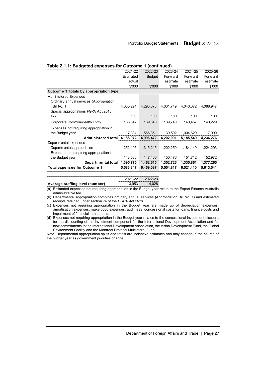| Table 2.1.1: Budgeted expenses for Outcome 1 (continued) |           |           |           |           |           |  |  |
|----------------------------------------------------------|-----------|-----------|-----------|-----------|-----------|--|--|
|                                                          | 2021-22   | 2022-23   | 2023-24   | 2024-25   | 2025-26   |  |  |
|                                                          | Estimated | Budget    | Forw ard  | Forw ard  | Forw ard  |  |  |
|                                                          | actual    |           | estimate  | estimate  | estimate  |  |  |
|                                                          | \$'000    | \$'000    | \$'000    | \$'000    | \$'000    |  |  |
| Outcome 1 Totals by appropriation type                   |           |           |           |           |           |  |  |
| Administered Expenses                                    |           |           |           |           |           |  |  |
| Ordinary annual services (Appropriation                  |           |           |           |           |           |  |  |
| <b>Bill No. 1)</b>                                       | 4,035,291 | 4,290,378 | 4,031,749 | 4.040.372 | 4,088,947 |  |  |
| Special appropriations PGPA Act 2013                     |           |           |           |           |           |  |  |
| s77                                                      | 100       | 100       | 100       | 100       | 100       |  |  |
| Corporate Commonw ealth Entity                           | 135,347   | 139,643   | 139,740   | 140,457   | 140,229   |  |  |
| Expenses not requiring appropriation in                  |           |           |           |           |           |  |  |
| the Budget year                                          | 17,334    | 566,351   | 30,502    | 1,004,620 | 7.000     |  |  |
| Administered total 4,188,072                             |           | 4,996,472 | 4,202,091 | 5,185,549 | 4,236,276 |  |  |
| Departmental expenses                                    |           |           |           |           |           |  |  |
| Departmental appropriation                               | 1,252,195 | 1,315,215 | 1,202,250 | 1,184,149 | 1,224,293 |  |  |
| Expenses not requiring appropriation in                  |           |           |           |           |           |  |  |
| the Budget year                                          | 143,580   | 147,400   | 150,476   | 151,712   | 152,972   |  |  |
| Departmental total                                       | 1,395,775 | 1,462,615 | 1,352,726 | 1,335,861 | 1,377,265 |  |  |
| <b>Total expenses for Outcome 1</b>                      | 5,583,847 | 6,459,087 | 5,554,817 | 6,521,410 | 5,613,541 |  |  |

|                                 |       | 2021-22 2022-23 |
|---------------------------------|-------|-----------------|
| Average staffing level (number) | 3.953 | 4.028           |

(a) Estimated expenses not requiring appropriation in the Budget year relate to the Export Finance Australia administrative fee.

(b) Departmental appropriation combines ordinary annual services (Appropriation Bill No. 1) and estimated receipts retained under section 74 of the *PGPA Act 2013*.

(c) Expenses not requiring appropriation in the Budget year are made up of depreciation expenses, amortisation expenses, make good expenses, audit fees, concessional costs for loans, finance costs and impairment of financial instruments.

(d) Expenses not requiring appropriation in the Budget year relates to the concessional investment discount for the discounting of the investment component for the International Development Association and for new commitments to the International Development Association, the Asian Development Fund, the Global Environment Facility and the Montreal Protocol Multilateral Fund.

Note: Departmental appropriation splits and totals are indicative estimates and may change in the course of the budget year as government priorities change.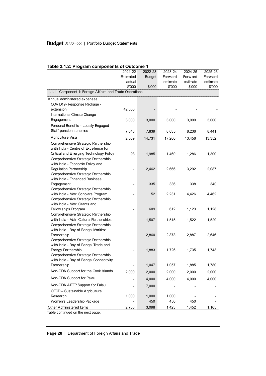# Budget 2022-23 | Portfolio Budget Statements

| Table 2.1.2: Program components of Outcome 1                      |           |               |          |          |          |
|-------------------------------------------------------------------|-----------|---------------|----------|----------|----------|
|                                                                   | 2021-22   | 2022-23       | 2023-24  | 2024-25  | 2025-26  |
|                                                                   | Estimated | <b>Budget</b> | Forw ard | Forw ard | Forw ard |
|                                                                   | actual    |               | estimate | estimate | estimate |
|                                                                   | \$'000    | \$'000        | \$'000   | \$'000   | \$'000   |
| 1.1.1 - Component 1: Foreign Affairs and Trade Operations         |           |               |          |          |          |
| Annual administered expenses:                                     |           |               |          |          |          |
| COVID19- Response Package -                                       |           |               |          |          |          |
| extension                                                         | 42,300    |               |          |          |          |
| International Climate Change                                      |           |               |          |          |          |
| Engagement                                                        | 3,000     | 3,000         | 3,000    | 3,000    | 3,000    |
| Personal Benefits - Locally Engaged                               |           |               |          |          |          |
| Staff pension schemes                                             | 7,648     | 7,839         | 8,035    | 8,236    | 8,441    |
| Agriculture Visa                                                  | 2,569     | 14,731        | 17,200   | 13,456   | 13,352   |
| Comprehensive Strategic Partnership                               |           |               |          |          |          |
| with India - Centre of Excellence for                             |           |               |          |          |          |
| Critical and Emerging Technology Policy                           | 98        | 1,985         | 1,460    | 1,286    | 1,300    |
| Comprehensive Strategic Partnership                               |           |               |          |          |          |
| with India - Economic Policy and                                  |           |               |          |          |          |
| <b>Regulation Partnership</b>                                     |           | 2,462         | 2,666    | 3,292    | 2,087    |
| Comprehensive Strategic Partnership                               |           |               |          |          |          |
| with India - Enhanced Business                                    |           |               |          |          |          |
| Engagement                                                        |           | 335           | 336      | 338      | 340      |
| Comprehensive Strategic Partnership                               |           |               |          |          |          |
| w ith India - Matri Scholars Program                              |           | 52            | 2,231    | 4,426    | 4,462    |
| Comprehensive Strategic Partnership                               |           |               |          |          |          |
| with India - Matri Grants and                                     |           |               |          |          |          |
| Fellow ships Program                                              |           | 609           | 612      | 1,123    | 1,128    |
| Comprehensive Strategic Partnership                               |           |               |          |          |          |
| w ith India - Matri Cultural Partnerships                         |           | 1,507         | 1,515    | 1,522    | 1,529    |
| Comprehensive Strategic Partnership                               |           |               |          |          |          |
| w ith India - Bay of Bengal Maritime                              |           |               |          |          |          |
| Partnership                                                       |           | 2,860         | 2,873    | 2,887    | 2,646    |
| Comprehensive Strategic Partnership                               |           |               |          |          |          |
| with India - Bay of Bengal Trade and<br><b>Energy Partnership</b> |           | 1,883         | 1,726    | 1,735    | 1,743    |
| Comprehensive Strategic Partnership                               |           |               |          |          |          |
| w ith India - Bay of Bengal Connectivity                          |           |               |          |          |          |
| Partnership                                                       |           | 1,047         | 1,057    | 1,885    | 1,780    |
| Non-ODA Support for the Cook Islands                              |           |               |          |          |          |
|                                                                   | 2,000     | 2,000         | 2,000    | 2,000    | 2,000    |
| Non-ODA Support for Palau                                         |           | 4,000         | 4,000    | 4,000    | 4,000    |
| Non-ODA AIFFP Support for Palau                                   |           | 7,000         |          |          |          |
| OECD - Sustainable Agriculture                                    |           |               |          |          |          |
| Research                                                          | 1,000     | 1,000         | 1,000    |          |          |
| Women's Leadership Package                                        |           | 450           | 450      | 450      |          |
| Other Administered Items                                          | 2,768     | 3,098         | 1,423    | 1,452    | 1,165    |

### **Table 2.1.2: Program components of Outcome 1**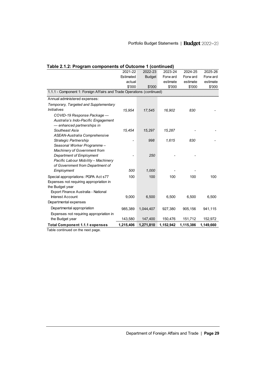| Table 2.1.2: Program components of Outcome 1 (continued)              |           |               |           |           |           |
|-----------------------------------------------------------------------|-----------|---------------|-----------|-----------|-----------|
|                                                                       | 2021-22   | 2022-23       | 2023-24   | 2024-25   | 2025-26   |
|                                                                       | Estimated | <b>Budget</b> | Forw ard  | Forw ard  | Forw ard  |
|                                                                       | actual    |               | estimate  | estimate  | estimate  |
|                                                                       | \$'000    | \$'000        | \$'000    | \$'000    | \$'000    |
| 1.1.1 - Component 1: Foreign Affairs and Trade Operations (continued) |           |               |           |           |           |
| Annual administered expenses:                                         |           |               |           |           |           |
| Temporary, Targeted and Supplementary                                 |           |               |           |           |           |
| <i><b>Initiatives</b></i>                                             | 15.954    | 17,545        | 16,902    | 830       |           |
| COVID-19 Response Package -                                           |           |               |           |           |           |
| Australia's Indo-Pacific Engagement                                   |           |               |           |           |           |
| — enhanced partnerships in                                            |           |               |           |           |           |
| Southeast Asia                                                        | 15,454    | 15,297        | 15,287    |           |           |
| ASEAN-Australia Comprehensive                                         |           |               |           |           |           |
| Strategic Partnership                                                 |           | 998           | 1,615     | 830       |           |
| Seasonal Worker Programme -                                           |           |               |           |           |           |
| Machinery of Government from                                          |           |               |           |           |           |
| Department of Employment                                              |           | 250           |           |           |           |
| Pacific Labour Mobility - Machinery                                   |           |               |           |           |           |
| of Government from Department of                                      |           |               |           |           |           |
| Employment                                                            | 500       | 1,000         |           |           |           |
| Special appropriations: PGPA Act s77                                  | 100       | 100           | 100       | 100       | 100       |
| Expenses not requiring appropriation in                               |           |               |           |           |           |
| the Budget year                                                       |           |               |           |           |           |
| Export Finance Australia - National                                   |           |               |           |           |           |
| <b>Interest Account</b>                                               | 9,000     | 6,500         | 6,500     | 6,500     | 6,500     |
| Departmental expenses                                                 |           |               |           |           |           |
| Departmental appropriation                                            | 985,389   | 1,044,407     | 927,380   | 905,156   | 941,115   |
| Expenses not requiring appropriation in                               |           |               |           |           |           |
| the Budget year                                                       | 143,580   | 147,400       | 150,476   | 151,712   | 152,972   |
| <b>Total Component 1.1.1 expenses</b>                                 | 1,215,406 | 1,271,810     | 1,152,942 | 1,115,386 | 1,149,660 |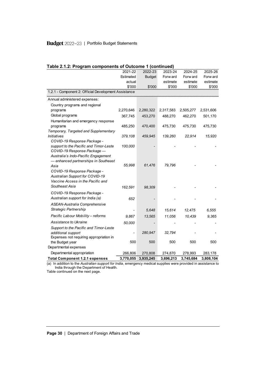# Budget 2022-23 | Portfolio Budget Statements

| Table 2.1.2: Program components of Outcome 1 (continued) |           |               |           |           |           |
|----------------------------------------------------------|-----------|---------------|-----------|-----------|-----------|
|                                                          | 2021-22   | 2022-23       | 2023-24   | 2024-25   | 2025-26   |
|                                                          | Estimated | <b>Budget</b> | Forw ard  | Forw ard  | Forw ard  |
|                                                          | actual    |               | estimate  | estimate  | estimate  |
|                                                          | \$'000    | \$'000        | \$'000    | \$'000    | \$'000    |
| 1.2.1 - Component 2: Official Development Assistance     |           |               |           |           |           |
| Annual administered expenses:                            |           |               |           |           |           |
| Country programs and regional                            |           |               |           |           |           |
| programs                                                 | 2,270,646 | 2,280,322     | 2,317,583 | 2,505,277 | 2,531,606 |
| Global programs                                          | 367,745   | 453,270       | 488,270   | 462,270   | 501,170   |
| Humanitarian and emergency response                      |           |               |           |           |           |
| programs                                                 | 485,250   | 470,400       | 475,730   | 475,730   | 475,730   |
| Temporary, Targeted and Supplementary                    |           |               |           |           |           |
| Initiatives                                              | 379,108   | 459,945       | 139,260   | 22,914    | 15,920    |
| COVID-19 Response Package -                              |           |               |           |           |           |
| support to the Pacific and Timor-Leste                   | 100,000   |               |           |           |           |
| COVID-19 Response Package -                              |           |               |           |           |           |
| Australia's Indo-Pacific Engagement                      |           |               |           |           |           |
| - enhanced partnerships in Southeast                     |           |               |           |           |           |
| Asia                                                     | 55,998    | 61,476        | 79,796    |           |           |
| COVID-19 Response Package -                              |           |               |           |           |           |
| Australian Support for COVID-19                          |           |               |           |           |           |
| Vaccine Access in the Pacific and                        |           |               |           |           |           |
| Southeast Asia                                           | 162,591   | 98,309        |           |           |           |
| COVID-19 Response Package -                              |           |               |           |           |           |
| Australian support for India (a)                         | 652       |               |           |           |           |
| ASEAN-Australia Comprehensive                            |           |               |           |           |           |
| Strategic Partnership                                    |           | 5,648         | 15,614    | 12,475    | 6,555     |
| Pacific Labour Mobility - reforms                        | 9,867     | 13,565        | 11,056    | 10,439    | 9.365     |
| Assistance to Ukraine                                    | 50,000    |               |           |           |           |
| Support to the Pacific and Timor-Leste                   |           |               |           |           |           |
| additional support                                       |           | 280,947       | 32,794    |           |           |
| Expenses not requiring appropriation in                  |           |               |           |           |           |
| the Budget year                                          | 500       | 500           | 500       | 500       | 500       |
| Departmental expenses                                    |           |               |           |           |           |
| Departmental appropriation                               | 266,806   | 270,808       | 274,870   | 278,993   | 283,178   |
| <b>Total Component 1.2.1 expenses</b>                    | 3,770,055 | 3,935,245     | 3,696,213 | 3,745,684 | 3,808,104 |

(a) In addition to the *Australian support for India*, emergency medical supplies were provided in assistance to India through the Department of Health.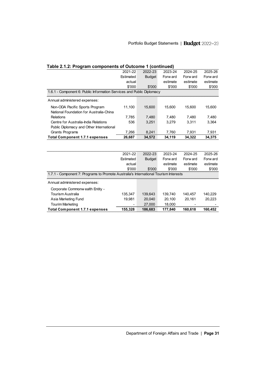| Table 2.1.2: Program components of Outcome 1 (continued)                             |           |               |          |          |          |
|--------------------------------------------------------------------------------------|-----------|---------------|----------|----------|----------|
|                                                                                      | 2021-22   | 2022-23       | 2023-24  | 2024-25  | 2025-26  |
|                                                                                      | Estimated | <b>Budget</b> | Forw ard | Forw ard | Forw ard |
|                                                                                      | actual    |               | estimate | estimate | estimate |
|                                                                                      | \$'000    | \$'000        | \$'000   | \$'000   | \$'000   |
| 1.6.1 - Component 6: Public Information Services and Public Diplomacy                |           |               |          |          |          |
| Annual administered expenses:                                                        |           |               |          |          |          |
| Non-ODA Pacific Sports Program                                                       | 11,100    | 15,600        | 15.600   | 15,600   | 15,600   |
| National Foundation for Australia-China                                              |           |               |          |          |          |
| Relations                                                                            | 7,785     | 7,480         | 7,480    | 7,480    | 7,480    |
| Centre for Australia-India Relations                                                 | 536       | 3,251         | 3.279    | 3,311    | 3,364    |
| Public Diplomacy and Other International                                             |           |               |          |          |          |
| Grants Programs                                                                      | 7.266     | 8,241         | 7,760    | 7,931    | 7,931    |
| <b>Total Component 1.7.1 expenses</b>                                                | 26,687    | 34,572        | 34,119   | 34,322   | 34,375   |
|                                                                                      |           |               |          |          |          |
|                                                                                      | 2021-22   | 2022-23       | 2023-24  | 2024-25  | 2025-26  |
|                                                                                      | Estimated | <b>Budget</b> | Forw ard | Forw ard | Forw ard |
|                                                                                      | actual    |               | estimate | estimate | estimate |
|                                                                                      | \$'000    | \$'000        | \$'000   | \$'000   | \$'000   |
| 1.7.1 - Component 7: Programs to Promote Australia's International Tourism Interests |           |               |          |          |          |
| Annual administered expenses:                                                        |           |               |          |          |          |
| Corporate Commonw ealth Entity -                                                     |           |               |          |          |          |
| <b>Tourism Australia</b>                                                             | 135,347   | 139,643       | 139,740  | 140,457  | 140,229  |
| Asia Marketing Fund                                                                  | 19,981    | 20,040        | 20,100   | 20,161   | 20,223   |
| <b>Tourim Marketing</b><br>27,000<br>18,000                                          |           |               |          |          |          |
| <b>Total Component 1.7.1 expenses</b>                                                | 186,683   | 177,840       | 160,618  | 160,452  |          |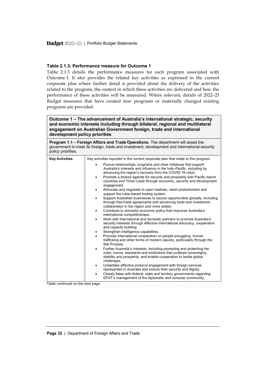#### **Table 2.1.3: Performance measure for Outcome 1**

Table 2.1.3 details the performance measures for each program associated with Outcome 1. It also provides the related key activities as expressed in the current corporate plan where further detail is provided about the delivery of the activities related to the program, the context in which these activities are delivered and how the performance of these activities will be measured. Where relevant, details of 2022–23 Budget measures that have created new programs or materially changed existing programs are provided.

**Outcome 1 – The advancement of Australia's international strategic, security and economic interests including through bilateral, regional and multilateral engagement on Australian Government foreign, trade and international development policy priorities**

**Program 1.1 – Foreign Affairs and Trade Operations.** The department will assist the government to meet its foreign, trade and investment, development and international security policy priorities.

| <b>Key Activities</b> | Key activities reported in the current corporate plan that relate to this program.                                                                                                                                                                                                                                                                                             |
|-----------------------|--------------------------------------------------------------------------------------------------------------------------------------------------------------------------------------------------------------------------------------------------------------------------------------------------------------------------------------------------------------------------------|
|                       | Pursue relationships, programs and other initiatives that support<br>Australia's interests and influence in the Indo-Pacific, including by<br>advancing the region's recovery from the COVID-19 crisis.<br>Promote a shared agenda for security and prosperity with Pacific island<br>٠<br>countries and Timor-Leste through economic, security and development<br>engagement. |
|                       | Advocate and negotiate to open markets, resist protectionism and<br>٠<br>support the rules-based trading system.                                                                                                                                                                                                                                                               |
|                       | Support Australian businesses to secure opportunities globally, including<br>٠<br>through free trade agreements and advancing trade and investment<br>collaboration in the region and more widely.                                                                                                                                                                             |
|                       | Contribute to domestic economic policy that improves Australia's<br>$\bullet$<br>international competitiveness.                                                                                                                                                                                                                                                                |
|                       | Work with international and domestic partners to promote Australia's<br>$\bullet$<br>security interests through effective international advocacy, cooperation<br>and capacity building.                                                                                                                                                                                        |
|                       | Strengthen intelligence capabilities.<br>٠                                                                                                                                                                                                                                                                                                                                     |
|                       | Promote international cooperation on people smuggling, human<br>٠<br>trafficking and other forms of modern slavery, particularly through the<br>Bali Process.                                                                                                                                                                                                                  |
|                       | Further Australia's interests, including promoting and protecting the<br>٠<br>rules, norms, standards and institutions that underpin sovereignty,<br>stability and prosperity, and enable cooperation to tackle global<br>challenges.                                                                                                                                          |
|                       | Undertake effective protocol engagement with foreign services<br>٠<br>represented in Australia and ensure their security and dignity.                                                                                                                                                                                                                                          |
|                       | Closely liaise with federal, state and territory governments regarding<br>DFAT's management of the diplomatic and consular community.                                                                                                                                                                                                                                          |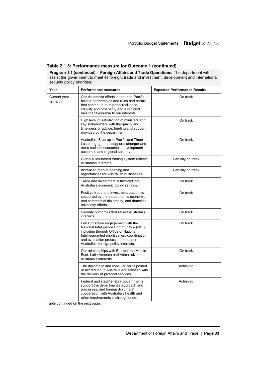| Program 1.1 (continued) - Foreign Affairs and Trade Operations. The department will<br>assist the government to meet its foreign, trade and investment, development and international<br>security policy priorities. |                                                                                                                                                                                                                                                         |                                     |  |
|----------------------------------------------------------------------------------------------------------------------------------------------------------------------------------------------------------------------|---------------------------------------------------------------------------------------------------------------------------------------------------------------------------------------------------------------------------------------------------------|-------------------------------------|--|
| Year                                                                                                                                                                                                                 | <b>Performance measures</b>                                                                                                                                                                                                                             | <b>Expected Performance Results</b> |  |
| Current year<br>2021-22                                                                                                                                                                                              | Our diplomatic efforts in the Indo-Pacific<br>bolster partnerships and rules and norms<br>that contribute to regional resilience,<br>stability and prosperity and a regional<br>balance favourable to our interests.                                    | On track                            |  |
|                                                                                                                                                                                                                      | High level of satisfaction of ministers and<br>key stakeholders with the quality and<br>timeliness of advice, briefing and support<br>provided by the department.                                                                                       | On track                            |  |
|                                                                                                                                                                                                                      | Australia's Step-up in Pacific and Timor-<br>Leste engagement supports stronger and<br>more resilient economies, development<br>outcomes and regional security.                                                                                         | On track                            |  |
|                                                                                                                                                                                                                      | Global rules-based trading system reflects<br>Australian interests.                                                                                                                                                                                     | Partially on track                  |  |
|                                                                                                                                                                                                                      | Increased market opening and<br>opportunities for Australian businesses.                                                                                                                                                                                | Partially on track                  |  |
|                                                                                                                                                                                                                      | Trade and investment is factored into<br>Australia's economic policy settings.                                                                                                                                                                          | On track                            |  |
|                                                                                                                                                                                                                      | Positive trade and investment outcomes<br>supported by the department's economic<br>and commercial diplomacy, and domestic<br>advocacy efforts.                                                                                                         | On track                            |  |
|                                                                                                                                                                                                                      | Security outcomes that reflect Australia's<br>interests.                                                                                                                                                                                                | On track                            |  |
|                                                                                                                                                                                                                      | Full and active engagement with the<br>National Intelligence Community - (NIC)<br>including through Office of National<br>Intelligence-led prioritisation, coordination<br>and evaluation process - to support<br>Australia's foreign policy interests. | On track                            |  |
|                                                                                                                                                                                                                      | Our relationships with Europe, the Middle<br>East. Latin America and Africa advance<br>Australia's interests.                                                                                                                                           | On track                            |  |
|                                                                                                                                                                                                                      | The diplomatic and consular corps posted<br>or accredited to Australia are satisfied with<br>the delivery of protocol services.                                                                                                                         | Achieved                            |  |
|                                                                                                                                                                                                                      | Federal and state/territory governments<br>support the department's approach and<br>processes, and foreign diplomats'<br>cooperation with Australia's health and<br>other requirements is strengthened.                                                 | Achieved                            |  |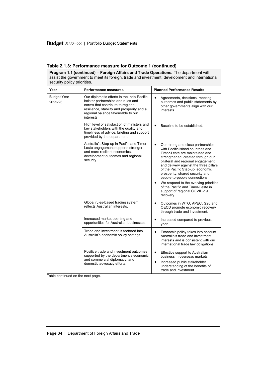| assist the government to meet its foreign, trade and investment, development and international<br>security policy priorities. |                                                                                                                                                                                                                         |                                                                                                                                                                                                                                                                                                                                                                                                                                                                              |  |
|-------------------------------------------------------------------------------------------------------------------------------|-------------------------------------------------------------------------------------------------------------------------------------------------------------------------------------------------------------------------|------------------------------------------------------------------------------------------------------------------------------------------------------------------------------------------------------------------------------------------------------------------------------------------------------------------------------------------------------------------------------------------------------------------------------------------------------------------------------|--|
| Year                                                                                                                          | <b>Performance measures</b>                                                                                                                                                                                             | <b>Planned Performance Results</b>                                                                                                                                                                                                                                                                                                                                                                                                                                           |  |
| <b>Budget Year</b><br>2022-23                                                                                                 | Our diplomatic efforts in the Indo-Pacific<br>bolster partnerships and rules and<br>norms that contribute to regional<br>resilience, stability and prosperity and a<br>regional balance favourable to our<br>interests. | Agreements, decisions, meeting<br>outcomes and public statements by<br>other governments align with our<br>interests.                                                                                                                                                                                                                                                                                                                                                        |  |
|                                                                                                                               | High level of satisfaction of ministers and<br>key stakeholders with the quality and<br>timeliness of advice, briefing and support<br>provided by the department.                                                       | Baseline to be established.<br>$\bullet$                                                                                                                                                                                                                                                                                                                                                                                                                                     |  |
|                                                                                                                               | Australia's Step-up in Pacific and Timor-<br>Leste engagement supports stronger<br>and more resilient economies,<br>development outcomes and regional<br>security.                                                      | $\bullet$<br>Our strong and close partnerships<br>with Pacific island countries and<br>Timor-Leste are maintained and<br>strengthened, created through our<br>bilateral and regional engagement<br>and delivery against the three pillars<br>of the Pacific Step-up: economic<br>prosperity, shared security and<br>people-to-people connections.<br>We respond to the evolving priorities<br>of the Pacific and Timor-Leste in<br>support of regional COVID-19<br>recovery. |  |
|                                                                                                                               | Global rules-based trading system<br>reflects Australian interests.                                                                                                                                                     | Outcomes in WTO, APEC, G20 and<br>$\bullet$<br>OECD promote economic recovery<br>through trade and investment.                                                                                                                                                                                                                                                                                                                                                               |  |
|                                                                                                                               | Increased market opening and<br>opportunities for Australian businesses.                                                                                                                                                | Increased compared to previous<br>year.                                                                                                                                                                                                                                                                                                                                                                                                                                      |  |
|                                                                                                                               | Trade and investment is factored into<br>Australia's economic policy settings.                                                                                                                                          | Economic policy takes into account<br>Australia's trade and investment<br>interests and is consistent with our<br>international trade law obligations.                                                                                                                                                                                                                                                                                                                       |  |
|                                                                                                                               | Positive trade and investment outcomes<br>supported by the department's economic<br>and commercial diplomacy, and<br>domestic advocacy efforts.                                                                         | Effective support to Australian<br>business in overseas markets.<br>Increased public stakeholder<br>understanding of the benefits of<br>trade and investment.                                                                                                                                                                                                                                                                                                                |  |

**Program 1.1 (continued) - Foreign Affairs and Trade Operations.** The department will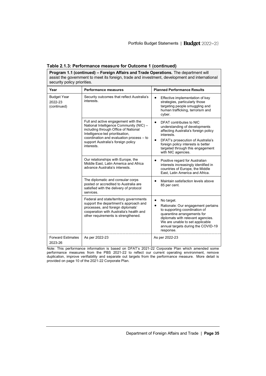| <b>Program 1.1 (continued) – Foreign Affairs and Trade Operations.</b> The department will<br>assist the government to meet its foreign, trade and investment, development and international<br>security policy priorities. |                                                                                                                                                                                                                                                           |                                                                                                                                                                                                                                                                  |  |
|-----------------------------------------------------------------------------------------------------------------------------------------------------------------------------------------------------------------------------|-----------------------------------------------------------------------------------------------------------------------------------------------------------------------------------------------------------------------------------------------------------|------------------------------------------------------------------------------------------------------------------------------------------------------------------------------------------------------------------------------------------------------------------|--|
| Year                                                                                                                                                                                                                        | <b>Performance measures</b>                                                                                                                                                                                                                               | <b>Planned Performance Results</b>                                                                                                                                                                                                                               |  |
| <b>Budget Year</b><br>2022-23<br>(continued)                                                                                                                                                                                | Security outcomes that reflect Australia's<br>interests                                                                                                                                                                                                   | Effective implementation of key<br>strategies, particularly those<br>targeting people smuggling and<br>human trafficking, terrorism and<br>cyber.                                                                                                                |  |
|                                                                                                                                                                                                                             | Full and active engagement with the<br>National Intelligence Community (NIC) -<br>including through Office of National<br>Intelligence-led prioritisation,<br>coordination and evaluation process - to<br>support Australia's foreign policy<br>interests | $\bullet$<br>DFAT contributes to NIC<br>understanding of developments<br>affecting Australia's foreign policy<br>interests.<br>DFAT's prosecution of Australia's<br>foreign policy interests is better<br>targeted through this engagement<br>with NIC agencies. |  |
|                                                                                                                                                                                                                             | Our relationships with Europe, the<br>Middle East. Latin America and Africa<br>advance Australia's interests.                                                                                                                                             | Positive regard for Australian<br>interests increasingly identified in<br>countries of Europe, the Middle<br>East. Latin America and Africa.                                                                                                                     |  |
|                                                                                                                                                                                                                             | The diplomatic and consular corps<br>posted or accredited to Australia are<br>satisfied with the delivery of protocol<br>services.                                                                                                                        | Maintain satisfaction levels above<br>85 per cent.                                                                                                                                                                                                               |  |
|                                                                                                                                                                                                                             | Federal and state/territory governments<br>support the department's approach and<br>processes, and foreign diplomats'<br>cooperation with Australia's health and<br>other requirements is strengthened.                                                   | No target.<br>Rationale: Our engagement pertains<br>to supporting coordination of<br>quarantine arrangements for<br>diplomats with relevant agencies.<br>We are unable to set applicable<br>annual targets during the COVID-19<br>response.                      |  |
| <b>Forward Estimates</b><br>2023-26                                                                                                                                                                                         | As per 2022-23                                                                                                                                                                                                                                            | As per 2022-23                                                                                                                                                                                                                                                   |  |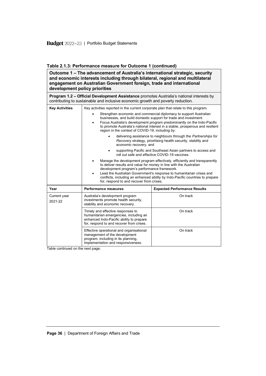**Outcome 1 – The advancement of Australia's international strategic, security and economic interests including through bilateral, regional and multilateral engagement on Australian Government foreign, trade and international development policy priorities**

**Program 1.2 – Official Development Assistance** promotes Australia's national interests by contributing to sustainable and inclusive economic growth and poverty reduction.

| <b>Key Activities</b>   | Key activities reported in the current corporate plan that relate to this program.                                                                                                                                                                                                                                                                                                                                                                                                                                                                                                                                                              |                                     |  |  |
|-------------------------|-------------------------------------------------------------------------------------------------------------------------------------------------------------------------------------------------------------------------------------------------------------------------------------------------------------------------------------------------------------------------------------------------------------------------------------------------------------------------------------------------------------------------------------------------------------------------------------------------------------------------------------------------|-------------------------------------|--|--|
|                         | Strengthen economic and commercial diplomacy to support Australian<br>businesses, and build domestic support for trade and investment.<br>Focus Australia's development program predominantly on the Indo-Pacific<br>٠<br>to promote Australia's national interest in a stable, prosperous and resilient<br>region in the context of COVID-19, including by:<br>delivering assistance to neighbours through the Partnerships for<br>Recovery strategy, prioritising health security, stability and<br>economic recovery, and<br>supporting Pacific and Southeast Asian partners to access and<br>roll out safe and effective COVID-19 vaccines. |                                     |  |  |
|                         |                                                                                                                                                                                                                                                                                                                                                                                                                                                                                                                                                                                                                                                 |                                     |  |  |
|                         |                                                                                                                                                                                                                                                                                                                                                                                                                                                                                                                                                                                                                                                 |                                     |  |  |
| Year                    | <b>Performance measures</b>                                                                                                                                                                                                                                                                                                                                                                                                                                                                                                                                                                                                                     | <b>Expected Performance Results</b> |  |  |
| Current year<br>2021-22 | Australia's development program<br>investments promote health security,<br>stability and economic recovery.                                                                                                                                                                                                                                                                                                                                                                                                                                                                                                                                     | On track                            |  |  |
|                         | Timely and effective responses to<br>humanitarian emergencies, including an<br>enhanced Indo-Pacific ability to prepare<br>for, respond to and recover from crises.                                                                                                                                                                                                                                                                                                                                                                                                                                                                             | On track                            |  |  |
|                         | Effective operational and organisational<br>management of the development<br>program, including in its planning,<br>implementation and responsiveness.                                                                                                                                                                                                                                                                                                                                                                                                                                                                                          | On track                            |  |  |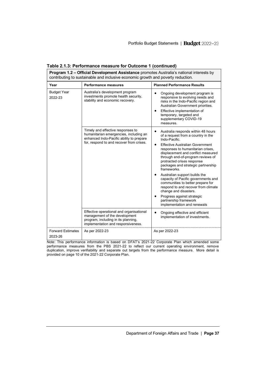| <b>Program 1.2 – Official Development Assistance</b> promotes Australia's national interests by<br>contributing to sustainable and inclusive economic growth and poverty reduction. |                                                                                                                                                                     |                                                                                                                                                                                                                                                                                                                                                                                                                                                                                                                                                                                                          |  |
|-------------------------------------------------------------------------------------------------------------------------------------------------------------------------------------|---------------------------------------------------------------------------------------------------------------------------------------------------------------------|----------------------------------------------------------------------------------------------------------------------------------------------------------------------------------------------------------------------------------------------------------------------------------------------------------------------------------------------------------------------------------------------------------------------------------------------------------------------------------------------------------------------------------------------------------------------------------------------------------|--|
| Year                                                                                                                                                                                | <b>Performance measures</b>                                                                                                                                         | <b>Planned Performance Results</b>                                                                                                                                                                                                                                                                                                                                                                                                                                                                                                                                                                       |  |
| <b>Budget Year</b><br>2022-23                                                                                                                                                       | Australia's development program<br>investments promote health security,<br>stability and economic recovery.                                                         | Ongoing development program is<br>responsive to evolving needs and<br>risks in the Indo-Pacific region and<br>Australian Government priorities.<br>Effective implementation of<br>$\bullet$<br>temporary, targeted and<br>supplementary COVID-19<br>measures.                                                                                                                                                                                                                                                                                                                                            |  |
|                                                                                                                                                                                     | Timely and effective responses to<br>humanitarian emergencies, including an<br>enhanced Indo-Pacific ability to prepare<br>for, respond to and recover from crises. | Australia responds within 48 hours<br>of a request from a country in the<br>Indo-Pacific.<br><b>Effective Australian Government</b><br>responses to humanitarian crises,<br>displacement and conflict measured<br>through end-of-program reviews of<br>protracted crises response<br>packages and strategic partnership<br>frameworks<br>Australian support builds the<br>capacity of Pacific governments and<br>communities to better prepare for<br>respond to and recover from climate<br>change and disasters.<br>Progress against strategic<br>partnership framework<br>implementation and renewals |  |
|                                                                                                                                                                                     | Effective operational and organisational<br>management of the development<br>program, including in its planning,<br>implementation and responsiveness.              | Ongoing effective and efficient<br>implementation of investments.                                                                                                                                                                                                                                                                                                                                                                                                                                                                                                                                        |  |
| <b>Forward Estimates</b><br>2023-26                                                                                                                                                 | As per 2022-23                                                                                                                                                      | As per 2022-23                                                                                                                                                                                                                                                                                                                                                                                                                                                                                                                                                                                           |  |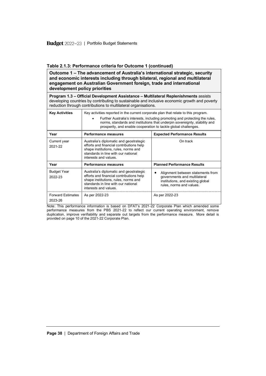**Outcome 1 – The advancement of Australia's international strategic, security and economic interests including through bilateral, regional and multilateral engagement on Australian Government foreign, trade and international development policy priorities**

**Program 1.3 – Official Development Assistance – Multilateral Replenishments** assists developing countries by contributing to sustainable and inclusive economic growth and poverty reduction through contributions to multilateral organisations.

| <b>Key Activities</b>               | Key activities reported in the current corporate plan that relate to this program.<br>Further Australia's interests, including promoting and protecting the rules,<br>norms, standards and institutions that underpin sovereignty, stability and<br>prosperity, and enable cooperation to tackle global challenges. |                                                                                                                                    |  |
|-------------------------------------|---------------------------------------------------------------------------------------------------------------------------------------------------------------------------------------------------------------------------------------------------------------------------------------------------------------------|------------------------------------------------------------------------------------------------------------------------------------|--|
| Year                                | <b>Expected Performance Results</b><br><b>Performance measures</b>                                                                                                                                                                                                                                                  |                                                                                                                                    |  |
| Current year<br>2021-22             | Australia's diplomatic and geostrategic<br>efforts and financial contributions help<br>shape institutions, rules, norms and<br>standards in line with our national<br>interests and values.                                                                                                                         | On track                                                                                                                           |  |
| Year                                | <b>Performance measures</b>                                                                                                                                                                                                                                                                                         | <b>Planned Performance Results</b>                                                                                                 |  |
| <b>Budget Year</b><br>2022-23       | Australia's diplomatic and geostrategic<br>efforts and financial contributions help<br>shape institutions, rules, norms and<br>standards in line with our national<br>interests and values.                                                                                                                         | Alignment between statements from<br>governments and multilateral<br>institutions, and existing global<br>rules, norms and values. |  |
| <b>Forward Estimates</b><br>2023-26 | As per 2022-23                                                                                                                                                                                                                                                                                                      | As per 2022-23                                                                                                                     |  |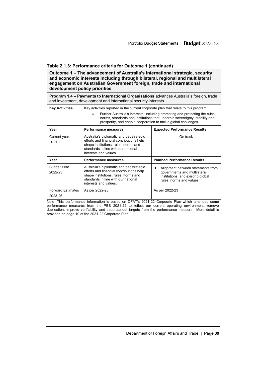**Outcome 1 – The advancement of Australia's international strategic, security and economic interests including through bilateral, regional and multilateral engagement on Australian Government foreign, trade and international development policy priorities**

**Program 1.4 – Payments to International Organisations** advances Australia's foreign, trade and investment, development and international security interests.

| <b>Key Activities</b>               | Key activities reported in the current corporate plan that relate to this program.<br>Further Australia's interests, including promoting and protecting the rules,<br>norms, standards and institutions that underpin sovereignty, stability and<br>prosperity, and enable cooperation to tackle global challenges. |                                                                                                                                    |  |
|-------------------------------------|---------------------------------------------------------------------------------------------------------------------------------------------------------------------------------------------------------------------------------------------------------------------------------------------------------------------|------------------------------------------------------------------------------------------------------------------------------------|--|
| Year                                | Performance measures                                                                                                                                                                                                                                                                                                | <b>Expected Performance Results</b>                                                                                                |  |
| Current year<br>2021-22             | Australia's diplomatic and geostrategic<br>efforts and financial contributions help<br>shape institutions, rules, norms and<br>standards in line with our national<br>interests and values.                                                                                                                         | On track                                                                                                                           |  |
| Year                                | <b>Performance measures</b>                                                                                                                                                                                                                                                                                         | <b>Planned Performance Results</b>                                                                                                 |  |
| <b>Budget Year</b><br>2022-23       | Australia's diplomatic and geostrategic<br>efforts and financial contributions help<br>shape institutions, rules, norms and<br>standards in line with our national<br>interests and values.                                                                                                                         | Alignment between statements from<br>governments and multilateral<br>institutions, and existing global<br>rules, norms and values. |  |
| <b>Forward Estimates</b><br>2023-26 | As per 2022-23                                                                                                                                                                                                                                                                                                      | As per 2022-23                                                                                                                     |  |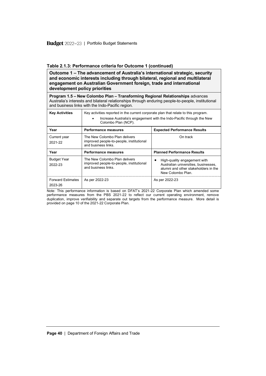**Outcome 1 – The advancement of Australia's international strategic, security and economic interests including through bilateral, regional and multilateral engagement on Australian Government foreign, trade and international development policy priorities**

**Program 1.5 – New Colombo Plan – Transforming Regional Relationships** advances Australia's interests and bilateral relationships through enduring people-to-people, institutional and business links with the Indo-Pacific region.

| <b>Key Activities</b>               | Key activities reported in the current corporate plan that relate to this program.<br>Increase Australia's engagement with the Indo-Pacific through the New<br>Colombo Plan (NCP). |                                                                                                                                   |  |
|-------------------------------------|------------------------------------------------------------------------------------------------------------------------------------------------------------------------------------|-----------------------------------------------------------------------------------------------------------------------------------|--|
| Year                                | <b>Performance measures</b>                                                                                                                                                        | <b>Expected Performance Results</b>                                                                                               |  |
| Current year<br>2021-22             | The New Colombo Plan delivers<br>improved people-to-people, institutional<br>and business links                                                                                    | On track                                                                                                                          |  |
| Year                                | <b>Performance measures</b>                                                                                                                                                        | <b>Planned Performance Results</b>                                                                                                |  |
| <b>Budget Year</b><br>2022-23       | The New Colombo Plan delivers<br>improved people-to-people, institutional<br>and business links                                                                                    | High-quality engagement with<br>Australian universities, businesses,<br>alumni and other stakeholders in the<br>New Colombo Plan. |  |
| <b>Forward Estimates</b><br>2023-26 | As per 2022-23                                                                                                                                                                     | As per 2022-23                                                                                                                    |  |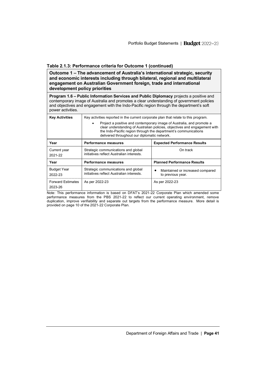**Outcome 1 – The advancement of Australia's international strategic, security and economic interests including through bilateral, regional and multilateral engagement on Australian Government foreign, trade and international development policy priorities**

**Program 1.6 – Public Information Services and Public Diplomacy** projects a positive and contemporary image of Australia and promotes a clear understanding of government policies and objectives and engagement with the Indo-Pacific region through the department's soft power activities.

| <b>Key Activities</b>               | Key activities reported in the current corporate plan that relate to this program.<br>Project a positive and contemporary image of Australia, and promote a<br>clear understanding of Australian policies, objectives and engagement with<br>the Indo-Pacific region through the department's communications<br>delivered throughout our diplomatic network. |                                                       |  |  |
|-------------------------------------|--------------------------------------------------------------------------------------------------------------------------------------------------------------------------------------------------------------------------------------------------------------------------------------------------------------------------------------------------------------|-------------------------------------------------------|--|--|
| Year                                | <b>Performance measures</b>                                                                                                                                                                                                                                                                                                                                  | <b>Expected Performance Results</b>                   |  |  |
| Current year<br>2021-22             | Strategic communications and global<br>initiatives reflect Australian interests                                                                                                                                                                                                                                                                              | On track                                              |  |  |
| Year                                | Performance measures                                                                                                                                                                                                                                                                                                                                         | <b>Planned Performance Results</b>                    |  |  |
| <b>Budget Year</b><br>2022-23       | Strategic communications and global<br>initiatives reflect Australian interests                                                                                                                                                                                                                                                                              | Maintained or increased compared<br>to previous year. |  |  |
| <b>Forward Estimates</b><br>2023-26 | As per 2022-23                                                                                                                                                                                                                                                                                                                                               | As per 2022-23                                        |  |  |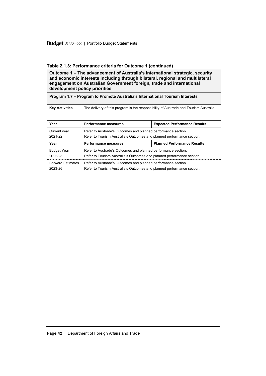| Outcome 1 – The advancement of Australia's international strategic, security<br>and economic interests including through bilateral, regional and multilateral<br>engagement on Australian Government foreign, trade and international<br>development policy priorities |                                                                                                                                         |                                     |  |
|------------------------------------------------------------------------------------------------------------------------------------------------------------------------------------------------------------------------------------------------------------------------|-----------------------------------------------------------------------------------------------------------------------------------------|-------------------------------------|--|
| Program 1.7 – Program to Promote Australia's International Tourism Interests                                                                                                                                                                                           |                                                                                                                                         |                                     |  |
| <b>Key Activities</b>                                                                                                                                                                                                                                                  | The delivery of this program is the responsibility of Austrade and Tourism Australia.                                                   |                                     |  |
|                                                                                                                                                                                                                                                                        |                                                                                                                                         |                                     |  |
| Year                                                                                                                                                                                                                                                                   | <b>Performance measures</b>                                                                                                             | <b>Expected Performance Results</b> |  |
| Current year<br>2021-22                                                                                                                                                                                                                                                | Refer to Austrade's Outcomes and planned performance section.<br>Refer to Tourism Australia's Outcomes and planned performance section. |                                     |  |
| Year                                                                                                                                                                                                                                                                   | <b>Performance measures</b>                                                                                                             | <b>Planned Performance Results</b>  |  |
| <b>Budget Year</b><br>2022-23                                                                                                                                                                                                                                          | Refer to Austrade's Outcomes and planned performance section.<br>Refer to Tourism Australia's Outcomes and planned performance section. |                                     |  |

**Page 42** | Department of Foreign Affairs and Trade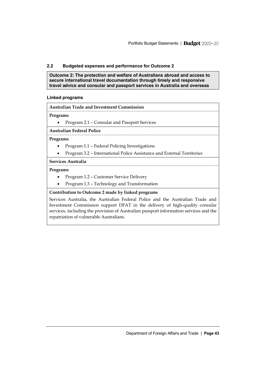### <span id="page-34-0"></span>**2.2 Budgeted expenses and performance for Outcome 2**

**Outcome 2: The protection and welfare of Australians abroad and access to secure international travel documentation through timely and responsive travel advice and consular and passport services in Australia and overseas**

#### **Linked programs**

|  | <b>Australian Trade and Investment Commission</b> |
|--|---------------------------------------------------|
|--|---------------------------------------------------|

#### **Programs**

• Program 2.1 – Consular and Passport Services

#### **Australian Federal Police**

#### **Programs**

- Program 1.1 Federal Policing Investigations
- Program 3.2 International Police Assistance and External Territories

#### **Services Australia**

#### **Programs**

- Program 1.2 Customer Service Delivery
- Program 1.3 Technology and Transformation

#### **Contribution to Outcome 2 made by linked programs**

Services Australia, the Australian Federal Police and the Australian Trade and Investment Commission support DFAT in the delivery of high-quality consular services, including the provision of Australian passport information services and the repatriation of vulnerable Australians.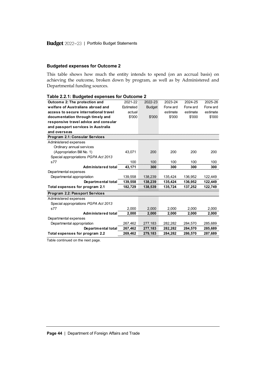### **Budgeted expenses for Outcome 2**

This table shows how much the entity intends to spend (on an accrual basis) on achieving the outcome, broken down by program, as well as by Administered and Departmental funding sources.

| Table 2.2.1: Budgeted expenses for Outcome 2 |           |               |          |          |          |
|----------------------------------------------|-----------|---------------|----------|----------|----------|
| Outcome 2: The protection and                | 2021-22   | 2022-23       | 2023-24  | 2024-25  | 2025-26  |
| welfare of Australians abroad and            | Estimated | <b>Budget</b> | Forw ard | Forw ard | Forw ard |
| access to secure international travel        | actual    |               | estimate | estimate | estimate |
| documentation through timely and             | \$'000    | \$'000        | \$'000   | \$'000   | \$'000   |
| responsive travel advice and consular        |           |               |          |          |          |
| and passport services in Australia           |           |               |          |          |          |
| and overseas                                 |           |               |          |          |          |
| <b>Program 2.1: Consular Services</b>        |           |               |          |          |          |
| Administered expenses                        |           |               |          |          |          |
| Ordinary annual services                     |           |               |          |          |          |
| (Appropriation Bill No. 1)                   | 43,071    | 200           | 200      | 200      | 200      |
| Special appropriations PGPA Act 2013         |           |               |          |          |          |
| s77                                          | 100       | 100           | 100      | 100      | 100      |
| Administered total                           | 43.171    | 300           | 300      | 300      | 300      |
| Departmental expenses                        |           |               |          |          |          |
| Departmental appropriation                   | 139.558   | 138.239       | 135.424  | 136.952  | 122.449  |
|                                              |           |               |          |          |          |
| Departmental total                           | 139,558   | 138.239       | 135.424  | 136.952  | 122.449  |
| Total expenses for program 2.1               | 182,729   | 138,539       | 135,724  | 137,252  | 122,749  |
| Program 2.2: Passport Services               |           |               |          |          |          |
| Administered expenses                        |           |               |          |          |          |
| Special appropriations PGPA Act 2013         |           |               |          |          |          |
| s77                                          | 2.000     | 2.000         | 2.000    | 2.000    | 2.000    |
| <b>Administered total</b>                    | 2,000     | 2,000         | 2,000    | 2,000    | 2,000    |
| Departmental expenses                        |           |               |          |          |          |
| Departmental appropriation                   | 267,462   | 277,183       | 282,282  | 284,570  | 285,689  |
| Departmental total                           | 267,462   | 277,183       | 282,282  | 284,570  | 285,689  |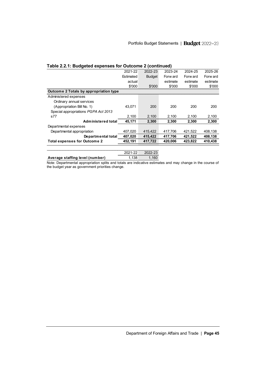| Table 2.2.1: Budgeted expenses for Outcome 2 (continued) |           |               |          |          |          |
|----------------------------------------------------------|-----------|---------------|----------|----------|----------|
|                                                          | 2021-22   | 2022-23       | 2023-24  | 2024-25  | 2025-26  |
|                                                          | Estimated | <b>Budget</b> | Forw ard | Forw ard | Forw ard |
|                                                          | actual    |               | estimate | estimate | estimate |
|                                                          | \$'000    | \$'000        | \$'000   | \$'000   | \$'000   |
| Outcome 2 Totals by appropriation type                   |           |               |          |          |          |
| Administered expenses                                    |           |               |          |          |          |
| Ordinary annual services                                 |           |               |          |          |          |
| (Appropriation Bill No. 1)                               | 43.071    | 200           | 200      | 200      | 200      |
| Special appropriations PGPA Act 2013                     |           |               |          |          |          |
| s77                                                      | 2.100     | 2.100         | 2.100    | 2.100    | 2.100    |
| Administered total                                       | 45,171    | 2.300         | 2,300    | 2,300    | 2.300    |
| Departmental expenses                                    |           |               |          |          |          |
| Departmental appropriation                               | 407,020   | 415,422       | 417,706  | 421,522  | 408.138  |
| Departmental total                                       | 407,020   | 415,422       | 417,706  | 421,522  | 408,138  |
| <b>Total expenses for Outcome 2</b>                      | 452,191   | 417.722       | 420,006  | 423,822  | 410,438  |
|                                                          |           |               |          |          |          |

Note: Departmental appropriation splits and totals are indicative estimates and may change in the course of 2021-22 2022-23<br>1,138 1,160 **Average staffing level (number)** 

the budget year as government priorities change.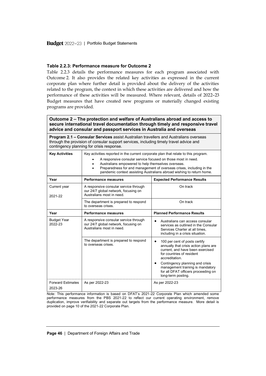#### **Table 2.2.3: Performance measure for Outcome 2**

Table 2.2.3 details the performance measures for each program associated with Outcome 2. It also provides the related key activities as expressed in the current corporate plan where further detail is provided about the delivery of the activities related to the program, the context in which these activities are delivered and how the performance of these activities will be measured. Where relevant, details of 2022–23 Budget measures that have created new programs or materially changed existing programs are provided.

**Outcome 2 – The protection and welfare of Australians abroad and access to secure international travel documentation through timely and responsive travel advice and consular and passport services in Australia and overseas**

| <b>Program 2.1 – Consular Services</b> assist Australian travellers and Australians overseas<br>through the provision of consular support services, including timely travel advice and<br>contingency planning for crisis response. |                                                                                                                                                                                                                                                                                                                                                                        |                                                                                                                                                                                                                        |  |
|-------------------------------------------------------------------------------------------------------------------------------------------------------------------------------------------------------------------------------------|------------------------------------------------------------------------------------------------------------------------------------------------------------------------------------------------------------------------------------------------------------------------------------------------------------------------------------------------------------------------|------------------------------------------------------------------------------------------------------------------------------------------------------------------------------------------------------------------------|--|
| <b>Key Activities</b>                                                                                                                                                                                                               | Key activities reported in the current corporate plan that relate to this program.<br>A responsive consular service focused on those most in need.<br>Australians empowered to help themselves overseas.<br>Preparedness for and management of overseas crises, including in the<br>$\bullet$<br>pandemic context assisting Australians abroad wishing to return home. |                                                                                                                                                                                                                        |  |
| Year                                                                                                                                                                                                                                | <b>Performance measures</b>                                                                                                                                                                                                                                                                                                                                            | <b>Expected Performance Results</b>                                                                                                                                                                                    |  |
| Current year<br>2021-22                                                                                                                                                                                                             | A responsive consular service through<br>our 24/7 global network, focusing on<br>Australians most in need.                                                                                                                                                                                                                                                             | On track                                                                                                                                                                                                               |  |
|                                                                                                                                                                                                                                     | The department is prepared to respond<br>to overseas crises.                                                                                                                                                                                                                                                                                                           | On track                                                                                                                                                                                                               |  |
| Year                                                                                                                                                                                                                                | <b>Performance measures</b>                                                                                                                                                                                                                                                                                                                                            | <b>Planned Performance Results</b>                                                                                                                                                                                     |  |
| <b>Budget Year</b><br>2022-23                                                                                                                                                                                                       | A responsive consular service through<br>our 24/7 global network, focusing on<br>Australians most in need.                                                                                                                                                                                                                                                             | Australians can access consular<br>services as outlined in the Consular<br>Services Charter at all times,<br>including in a crisis situation.                                                                          |  |
|                                                                                                                                                                                                                                     | The department is prepared to respond<br>to overseas crises.                                                                                                                                                                                                                                                                                                           | 100 per cent of posts certify<br>$\bullet$<br>annually that crisis action plans are<br>current, and have been exercised<br>for countries of resident<br>accreditation.<br>Contingency planning and crisis<br>$\bullet$ |  |
|                                                                                                                                                                                                                                     |                                                                                                                                                                                                                                                                                                                                                                        | management training is mandatory<br>for all DFAT officers proceeding on<br>long-term posting.                                                                                                                          |  |
| <b>Forward Estimates</b><br>2023-26                                                                                                                                                                                                 | As per 2022-23                                                                                                                                                                                                                                                                                                                                                         | As per 2022-23                                                                                                                                                                                                         |  |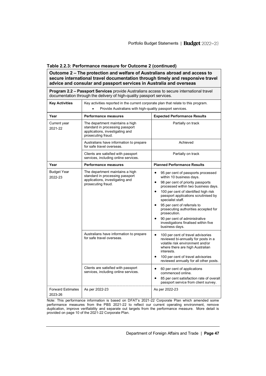| Outcome 2 - The protection and welfare of Australians abroad and access to<br>secure international travel documentation through timely and responsive travel<br>advice and consular and passport services in Australia and overseas |                                                                                                                                                |                                                                                                                                                                                                                                                                                                                                                                                                                                                                          |  |
|-------------------------------------------------------------------------------------------------------------------------------------------------------------------------------------------------------------------------------------|------------------------------------------------------------------------------------------------------------------------------------------------|--------------------------------------------------------------------------------------------------------------------------------------------------------------------------------------------------------------------------------------------------------------------------------------------------------------------------------------------------------------------------------------------------------------------------------------------------------------------------|--|
| Program 2.2 - Passport Services provide Australians access to secure international travel<br>documentation through the delivery of high-quality passport services.                                                                  |                                                                                                                                                |                                                                                                                                                                                                                                                                                                                                                                                                                                                                          |  |
| <b>Key Activities</b>                                                                                                                                                                                                               | Key activities reported in the current corporate plan that relate to this program.<br>Provide Australians with high-quality passport services. |                                                                                                                                                                                                                                                                                                                                                                                                                                                                          |  |
| Year                                                                                                                                                                                                                                | Performance measures                                                                                                                           | <b>Expected Performance Results</b>                                                                                                                                                                                                                                                                                                                                                                                                                                      |  |
| Current year<br>2021-22                                                                                                                                                                                                             | The department maintains a high<br>standard in processing passport<br>applications, investigating and<br>prosecuting fraud.                    | Partially on track                                                                                                                                                                                                                                                                                                                                                                                                                                                       |  |
|                                                                                                                                                                                                                                     | Australians have information to prepare<br>for safe travel overseas.                                                                           | Achieved                                                                                                                                                                                                                                                                                                                                                                                                                                                                 |  |
|                                                                                                                                                                                                                                     | Clients are satisfied with passport<br>services, including online services.                                                                    | Partially on track                                                                                                                                                                                                                                                                                                                                                                                                                                                       |  |
| Year                                                                                                                                                                                                                                | <b>Performance measures</b>                                                                                                                    | <b>Planned Performance Results</b>                                                                                                                                                                                                                                                                                                                                                                                                                                       |  |
| <b>Budget Year</b><br>2022-23                                                                                                                                                                                                       | The department maintains a high<br>standard in processing passport<br>applications, investigating and<br>prosecuting fraud.                    | 95 per cent of passports processed<br>$\bullet$<br>within 10 business days.<br>98 per cent of priority passports<br>$\bullet$<br>processed within two business days.<br>100 per cent of identified high risk<br>$\bullet$<br>passport applications scrutinised by<br>specialist staff.<br>95 per cent of referrals to<br>prosecuting authorities accepted for<br>prosecution.<br>90 per cent of administrative<br>investigations finalised within five<br>business days. |  |
|                                                                                                                                                                                                                                     | Australians have information to prepare<br>for safe travel overseas.<br>Clients are satisfied with passport                                    | $\bullet$<br>100 per cent of travel advisories<br>reviewed bi-annually for posts in a<br>volatile risk environment and/or<br>where there are high Australian<br>interests.<br>100 per cent of travel advisories<br>reviewed annually for all other posts.                                                                                                                                                                                                                |  |
|                                                                                                                                                                                                                                     | services, including online services.                                                                                                           | $\bullet$<br>60 per cent of applications<br>commenced online.<br>85 per cent satisfaction rate of overall<br>passport service from client survey.                                                                                                                                                                                                                                                                                                                        |  |
| <b>Forward Estimates</b><br>2023-26                                                                                                                                                                                                 | As per 2022-23                                                                                                                                 | As per 2022-23                                                                                                                                                                                                                                                                                                                                                                                                                                                           |  |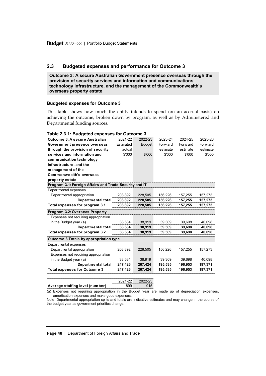### <span id="page-39-0"></span>**2.3 Budgeted expenses and performance for Outcome 3**

**Outcome 3: A secure Australian Government presence overseas through the provision of security services and information and communications technology infrastructure, and the management of the Commonwealth's overseas property estate**

#### **Budgeted expenses for Outcome 3**

This table shows how much the entity intends to spend (on an accrual basis) on achieving the outcome, broken down by program, as well as by Administered and Departmental funding sources.

| Table 2.3.1: Budgeted expenses for Outcome 3           |           |               |          |          |          |
|--------------------------------------------------------|-----------|---------------|----------|----------|----------|
| <b>Outcome 3: A secure Australian</b>                  | 2021-22   | 2022-23       | 2023-24  | 2024-25  | 2025-26  |
| Government presence overseas                           | Estimated | <b>Budget</b> | Forw ard | Forw ard | Forw ard |
| through the provision of security                      | actual    |               | estimate | estimate | estimate |
| services and information and                           | \$'000    | \$'000        | \$'000   | \$'000   | \$'000   |
| communication technology                               |           |               |          |          |          |
| infrastructure, and the                                |           |               |          |          |          |
| management of the                                      |           |               |          |          |          |
| Commonwealth's overseas                                |           |               |          |          |          |
| property estate                                        |           |               |          |          |          |
| Program 3.1: Foreign Affairs and Trade Security and IT |           |               |          |          |          |
| Departmental expenses                                  |           |               |          |          |          |
| Departmental appropriation                             | 208.892   | 228.505       | 156.226  | 157.255  | 157.273  |
| Departmental total                                     | 208,892   | 228,505       | 156,226  | 157,255  | 157,273  |
| Total expenses for program 3.1                         | 208,892   | 228,505       | 156,226  | 157,255  | 157,273  |
| Program 3.2: Overseas Property                         |           |               |          |          |          |
| Expenses not requiring appropriation                   |           |               |          |          |          |
|                                                        |           |               |          |          |          |
| in the Budget year (a)                                 | 38.534    | 38.919        | 39.309   | 39.698   | 40.098   |
| Departmental total                                     | 38,534    | 38,919        | 39,309   | 39,698   | 40,098   |
| Total expenses for program 3.2                         | 38.534    | 38,919        | 39,309   | 39,698   | 40.098   |
| Outcome 3 Totals by appropriation type                 |           |               |          |          |          |
| Departmental expenses                                  |           |               |          |          |          |
| Departmental appropriation                             | 208.892   | 228,505       | 156,226  | 157,255  | 157.273  |
| Expenses not requiring appropriation                   |           |               |          |          |          |
| in the Budget year (a)                                 | 38,534    | 38,919        | 39,309   | 39,698   | 40,098   |
| Departmental total                                     | 247,426   | 267,424       | 195,535  | 196,953  | 197,371  |
| <b>Total expenses for Outcome 3</b>                    | 247,426   | 267.424       | 195,535  | 196,953  | 197,371  |
|                                                        |           |               |          |          |          |
|                                                        | 2021-22   | 2022-23       |          |          |          |

(a) Expenses not requiring appropriation in the Budget year are made up of depreciation expenses, amortisation expenses and make good expenses. Average staffing level (number) 899 895

Note: Departmental appropriation splits and totals are indicative estimates and may change in the course of the budget year as government priorities change.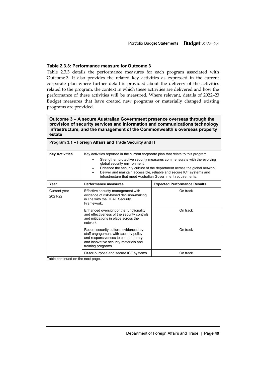#### **Table 2.3.3: Performance measure for Outcome 3**

Table 2.3.3 details the performance measures for each program associated with Outcome 3. It also provides the related key activities as expressed in the current corporate plan where further detail is provided about the delivery of the activities related to the program, the context in which these activities are delivered and how the performance of these activities will be measured. Where relevant, details of 2022–23 Budget measures that have created new programs or materially changed existing programs are provided.

**Outcome 3 – A secure Australian Government presence overseas through the provision of security services and information and communications technology infrastructure, and the management of the Commonwealth's overseas property estate**

|                         | Program 3.1 – Foreign Affairs and Trade Security and IT                                                                                                                                                                                                                                                                                                                                                           |                                     |  |
|-------------------------|-------------------------------------------------------------------------------------------------------------------------------------------------------------------------------------------------------------------------------------------------------------------------------------------------------------------------------------------------------------------------------------------------------------------|-------------------------------------|--|
| <b>Key Activities</b>   | Key activities reported in the current corporate plan that relate to this program.<br>Strengthen protective security measures commensurate with the evolving<br>global security environment.<br>Enhance the security culture of the department across the global network.<br>Deliver and maintain accessible, reliable and secure ICT systems and<br>infrastructure that meet Australian Government requirements. |                                     |  |
| Year                    | <b>Performance measures</b>                                                                                                                                                                                                                                                                                                                                                                                       | <b>Expected Performance Results</b> |  |
| Current year<br>2021-22 | Effective security management with<br>evidence of risk-based decision-making<br>in line with the DFAT Security<br>Framework                                                                                                                                                                                                                                                                                       | On track                            |  |
|                         | Enhanced oversight of the functionality<br>and effectiveness of the security controls<br>and mitigations in place across the<br>network                                                                                                                                                                                                                                                                           | On track                            |  |
|                         | Robust security culture, evidenced by<br>staff engagement with security policy<br>and responsiveness to contemporary<br>and innovative security materials and<br>training programs.                                                                                                                                                                                                                               | On track                            |  |
|                         | Fit-for-purpose and secure ICT systems.                                                                                                                                                                                                                                                                                                                                                                           | On track                            |  |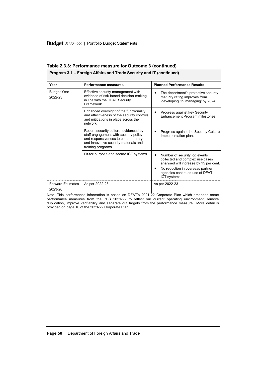| Program 3.1 – Foreign Affairs and Trade Security and IT (continued) |                                                                                                                                                                                     |                                                                                                                                                                                                               |  |  |
|---------------------------------------------------------------------|-------------------------------------------------------------------------------------------------------------------------------------------------------------------------------------|---------------------------------------------------------------------------------------------------------------------------------------------------------------------------------------------------------------|--|--|
| Year                                                                | <b>Performance measures</b>                                                                                                                                                         | <b>Planned Performance Results</b>                                                                                                                                                                            |  |  |
| <b>Budget Year</b><br>2022-23                                       | Effective security management with<br>evidence of risk-based decision-making<br>in line with the DFAT Security<br>Framework                                                         | The department's protective security<br>maturity rating improves from<br>'developing' to 'managing' by 2024.                                                                                                  |  |  |
|                                                                     | Enhanced oversight of the functionality<br>and effectiveness of the security controls<br>and mitigations in place across the<br>network                                             | Progress against key Security<br>Enhancement Program milestones.                                                                                                                                              |  |  |
|                                                                     | Robust security culture, evidenced by<br>staff engagement with security policy<br>and responsiveness to contemporary<br>and innovative security materials and<br>training programs. | Progress against the Security Culture<br>Implementation plan.                                                                                                                                                 |  |  |
|                                                                     | Fit-for-purpose and secure ICT systems.                                                                                                                                             | Number of security log events<br>$\bullet$<br>collected and complex use cases<br>analysed will increase by 15 per cent.<br>No reduction in overseas partner<br>agencies continued use of DFAT<br>ICT systems. |  |  |
| <b>Forward Estimates</b><br>2023-26                                 | As per 2022-23                                                                                                                                                                      | As per 2022-23                                                                                                                                                                                                |  |  |

**Table 2.3.3: Performance measure for Outcome 3 (continued)**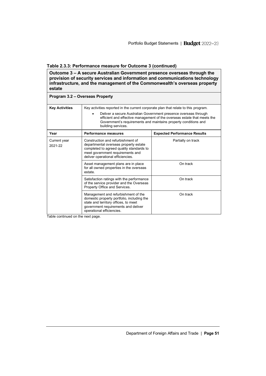**Outcome 3 – A secure Australian Government presence overseas through the provision of security services and information and communications technology infrastructure, and the management of the Commonwealth's overseas property estate**

|                         | Program 3.2 - Overseas Property                                                                                                                                                                                                                                                                                             |                                     |  |  |  |
|-------------------------|-----------------------------------------------------------------------------------------------------------------------------------------------------------------------------------------------------------------------------------------------------------------------------------------------------------------------------|-------------------------------------|--|--|--|
| <b>Key Activities</b>   | Key activities reported in the current corporate plan that relate to this program.<br>Deliver a secure Australian Government presence overseas through<br>efficient and effective management of the overseas estate that meets the<br>Government's requirements and maintains property conditions and<br>building services. |                                     |  |  |  |
| Year                    | <b>Performance measures</b>                                                                                                                                                                                                                                                                                                 | <b>Expected Performance Results</b> |  |  |  |
| Current year<br>2021-22 | Construction and refurbishment of<br>departmental overseas property estate<br>completed to agreed quality standards to<br>meet government requirements and<br>deliver operational efficiencies.                                                                                                                             | Partially on track                  |  |  |  |
|                         | Asset management plans are in place<br>for all owned properties in the overseas<br>estate.                                                                                                                                                                                                                                  | On track                            |  |  |  |
|                         | Satisfaction ratings with the performance<br>of the service provider and the Overseas<br>Property Office and Services.                                                                                                                                                                                                      | On track                            |  |  |  |
|                         | Management and refurbishment of the<br>domestic property portfolio, including the<br>state and territory offices, to meet<br>government requirements and deliver<br>operational efficiencies.                                                                                                                               | On track                            |  |  |  |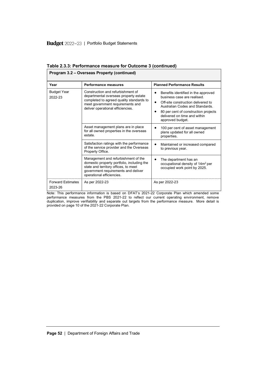|                                     | Program 3.2 – Overseas Property (continued)                                                                                                                                                     |                                                                                                                                                                                                                                                          |
|-------------------------------------|-------------------------------------------------------------------------------------------------------------------------------------------------------------------------------------------------|----------------------------------------------------------------------------------------------------------------------------------------------------------------------------------------------------------------------------------------------------------|
| Year                                | <b>Performance measures</b>                                                                                                                                                                     | <b>Planned Performance Results</b>                                                                                                                                                                                                                       |
| <b>Budget Year</b><br>2022-23       | Construction and refurbishment of<br>departmental overseas property estate<br>completed to agreed quality standards to<br>meet government requirements and<br>deliver operational efficiencies. | Benefits identified in the approved<br>٠<br>business case are realised<br>Off-site construction delivered to<br>$\bullet$<br>Australian Codes and Standards.<br>80 per cent of construction projects<br>delivered on time and within<br>approved budget. |
|                                     | Asset management plans are in place<br>for all owned properties in the overseas<br>estate                                                                                                       | 100 per cent of asset management<br>plans updated for all owned<br>properties.                                                                                                                                                                           |
|                                     | Satisfaction ratings with the performance<br>of the service provider and the Overseas<br>Property Office.                                                                                       | Maintained or increased compared<br>to previous year.                                                                                                                                                                                                    |
|                                     | Management and refurbishment of the<br>domestic property portfolio, including the<br>state and territory offices, to meet<br>government requirements and deliver<br>operational efficiencies.   | The department has an<br>$\bullet$<br>occupational density of 14m <sup>2</sup> per<br>occupied work point by 2025.                                                                                                                                       |
| <b>Forward Estimates</b><br>2023-26 | As per 2022-23                                                                                                                                                                                  | As per 2022-23                                                                                                                                                                                                                                           |

**Table 2.3.3: Performance measure for Outcome 3 (continued)**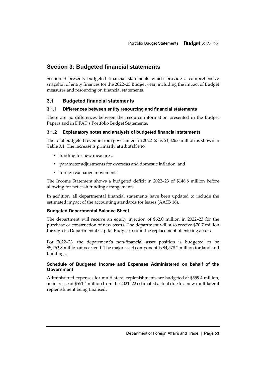# <span id="page-44-0"></span>**Section 3: Budgeted financial statements**

Section 3 presents budgeted financial statements which provide a comprehensive snapshot of entity finances for the 2022–23 Budget year, including the impact of Budget measures and resourcing on financial statements.

# <span id="page-44-1"></span>**3.1 Budgeted financial statements**

### **3.1.1 Differences between entity resourcing and financial statements**

There are no differences between the resource information presented in the Budget Papers and in DFAT's Portfolio Budget Statements.

### **3.1.2 Explanatory notes and analysis of budgeted financial statements**

The total budgeted revenue from government in 2022–23 is \$1,826.6 million as shown in Table 3.1. The increase is primarily attributable to:

- funding for new measures;
- parameter adjustments for overseas and domestic inflation; and
- foreign exchange movements.

The Income Statement shows a budgeted deficit in 2022–23 of \$146.8 million before allowing for net cash funding arrangements.

In addition, all departmental financial statements have been updated to include the estimated impact of the accounting standards for leases (AASB 16).

### **Budgeted Departmental Balance Sheet**

The department will receive an equity injection of \$62.0 million in 2022–23 for the purchase or construction of new assets. The department will also receive \$70.7 million through its Departmental Capital Budget to fund the replacement of existing assets.

For 2022–23, the department's non-financial asset position is budgeted to be \$5,263.8 million at year-end. The major asset component is \$4,578.2 million for land and buildings.

### **Schedule of Budgeted Income and Expenses Administered on behalf of the Government**

Administered expenses for multilateral replenishments are budgeted at \$559.4 million, an increase of \$551.4 million from the 2021–22 estimated actual due to a new multilateral replenishment being finalised.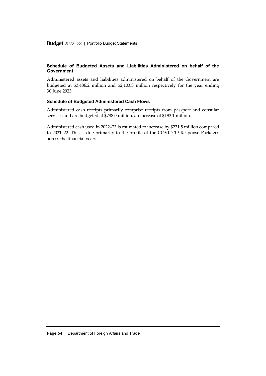#### **Schedule of Budgeted Assets and Liabilities Administered on behalf of the Government**

Administered assets and liabilities administered on behalf of the Government are budgeted at \$3,486.2 million and \$2,103.3 million respectively for the year ending 30 June 2023.

#### **Schedule of Budgeted Administered Cash Flows**

Administered cash receipts primarily comprise receipts from passport and consular services and are budgeted at \$788.0 million, an increase of \$193.1 million.

Administered cash used in 2022–23 is estimated to increase by \$231.5 million compared to 2021–22. This is due primarily to the profile of the COVID-19 Response Packages across the financial years.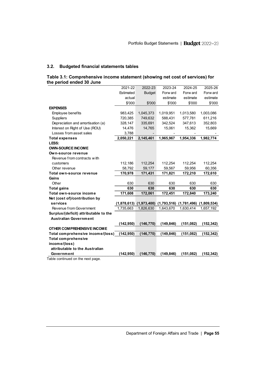# **3.2. Budgeted financial statements tables**

| Table 3.1: Comprehensive income statement (showing net cost of services) for |  |  |
|------------------------------------------------------------------------------|--|--|
| the period ended 30 June                                                     |  |  |

| the period ended 30 June              |            |                                                         |            |           |             |
|---------------------------------------|------------|---------------------------------------------------------|------------|-----------|-------------|
|                                       | 2021-22    | 2022-23                                                 | 2023-24    | 2024-25   | 2025-26     |
|                                       | Estimated  | <b>Budget</b>                                           | Forw ard   | Forw ard  | Forw ard    |
|                                       | actual     |                                                         | estimate   | estimate  | estimate    |
|                                       | \$'000     | \$'000                                                  | \$'000     | \$'000    | \$'000      |
| <b>EXPENSES</b>                       |            |                                                         |            |           |             |
| Employee benefits                     | 983,425    | 1,045,373                                               | 1,019,951  | 1,013,580 | 1,003,086   |
| <b>Suppliers</b>                      | 720,385    | 749,632                                                 | 588,431    | 577,781   | 611,216     |
| Depreciation and amortisation (a)     | 328,147    | 335,691                                                 | 342,524    | 347,613   | 352,803     |
| Interest on Right of Use (ROU)        | 14,476     | 14,765                                                  | 15,061     | 15,362    | 15,669      |
| Losses from asset sales               | 3,788      |                                                         |            |           |             |
| <b>Total expenses</b>                 | 2,050,221  | 2,145,461                                               | 1,965,967  | 1,954,336 | 1,982,774   |
| LESS:                                 |            |                                                         |            |           |             |
| <b>OWN-SOURCE INCOME</b>              |            |                                                         |            |           |             |
| Own-source revenue                    |            |                                                         |            |           |             |
| Revenue from contracts with           |            |                                                         |            |           |             |
| customers                             | 112,186    | 112,254                                                 | 112,254    | 112,254   | 112,254     |
| Other revenue                         | 58,792     | 59,177                                                  | 59,567     | 59,956    | 60,356      |
| Total own-source revenue              | 170,978    | 171,431                                                 | 171,821    | 172,210   | 172,610     |
| Gains                                 |            |                                                         |            |           |             |
| Other                                 | 630        | 630                                                     | 630        | 630       | 630         |
| <b>Total gains</b>                    | 630        | 630                                                     | 630        | 630       | 630         |
| Total own-source income               | 171,608    | 172,061                                                 | 172,451    | 172,840   | 173,240     |
| Net (cost of)/contribution by         |            |                                                         |            |           |             |
| services                              |            | $(1,878,613)$ $(1,973,400)$ $(1,793,516)$ $(1,781,496)$ |            |           | (1,809,534) |
| Revenue from Government               | 1,735,663  | 1,826,630                                               | 1,643,670  | 1,630,414 | 1,657,192   |
| Surplus/(deficit) attributable to the |            |                                                         |            |           |             |
| <b>Australian Government</b>          |            |                                                         |            |           |             |
|                                       | (142, 950) | (146, 770)                                              | (149, 846) | (151,082) | (152, 342)  |
| OTHER COMPREHENSIVE INCOME            |            |                                                         |            |           |             |
| Total comprehensive income/(loss)     | (142, 950) | (146, 770)                                              | (149, 846) | (151,082) | (152, 342)  |
| <b>Total comprehensive</b>            |            |                                                         |            |           |             |
| income/(loss)                         |            |                                                         |            |           |             |
| attributable to the Australian        |            |                                                         |            |           |             |
| Government                            | (142, 950) | (146, 770)                                              | (149, 846) | (151,082) | (152, 342)  |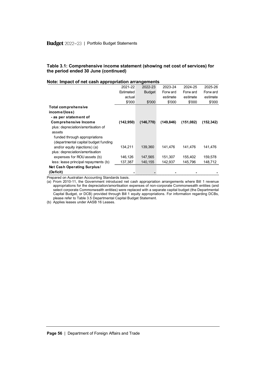#### **Table 3.1: Comprehensive income statement (showing net cost of services) for the period ended 30 June (continued)**

#### **Note: Impact of net cash appropriation arrangements**

| Note: Impact of net cash appropriation arrangements |           |               |            |           |            |
|-----------------------------------------------------|-----------|---------------|------------|-----------|------------|
|                                                     | 2021-22   | 2022-23       | 2023-24    | 2024-25   | 2025-26    |
|                                                     | Estimated | <b>Budget</b> | Forw ard   | Forw ard  | Forw ard   |
|                                                     | actual    |               | estimate   | estimate  | estimate   |
|                                                     | \$'000    | \$'000        | \$'000     | \$'000    | \$'000     |
| Total comprehensive                                 |           |               |            |           |            |
| income/(loss)                                       |           |               |            |           |            |
| - as per statement of                               |           |               |            |           |            |
| <b>Comprehensive Income</b>                         | (142,950) | (146, 770)    | (149, 846) | (151,082) | (152, 342) |
| plus: depreciation/amortisation of                  |           |               |            |           |            |
| assets                                              |           |               |            |           |            |
| funded through appropriations                       |           |               |            |           |            |
| (departmental capital budget funding                |           |               |            |           |            |
| and/or equity injections) (a)                       | 134,211   | 139,360       | 141,476    | 141,476   | 141,476    |
| plus: depreciation/amortisation                     |           |               |            |           |            |
| expenses for ROU assets (b)                         | 146,126   | 147,565       | 151,307    | 155,402   | 159,578    |
| less: lease principal repayments (b)                | 137,387   | 140,155       | 142,937    | 145,796   | 148,712    |
| Net Cash Operating Surplus/                         |           |               |            |           |            |
| (Deficit)                                           |           |               |            |           |            |
| arad an Australian Assounting Ctandards basis       |           |               |            |           |            |

Prepared on Australian Accounting Standards basis.

(a) From 2010-11, the Government introduced net cash appropriation arrangements where Bill 1 revenue appropriations for the depreciation/amortisation expenses of non-corporate Commonwealth entities (and select corporate Commonwealth entities) were replaced with a separate capital budget (the Departmental Capital Budget, or DCB) provided through Bill 1 equity appropriations. For information regarding DCBs, please refer to Table 3.5 Departmental Capital Budget Statement.

(b) Applies leases under AASB 16 Leases.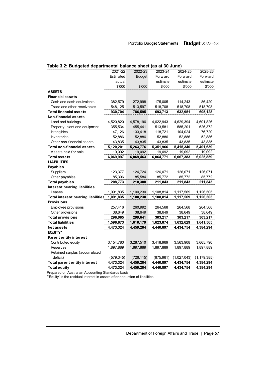| Table 3.2: Budgeted departmental balance sheet (as at 30 June) |            |               |            |             |               |  |  |  |
|----------------------------------------------------------------|------------|---------------|------------|-------------|---------------|--|--|--|
|                                                                | 2021-22    | 2022-23       | 2023-24    | 2024-25     | 2025-26       |  |  |  |
|                                                                | Estimated  | <b>Budget</b> | Forw ard   | Forw ard    | Forw ard      |  |  |  |
|                                                                | actual     |               | estimate   | estimate    | estimate      |  |  |  |
|                                                                | \$'000     | \$'000        | \$'000     | \$'000      | \$'000        |  |  |  |
| <b>ASSETS</b>                                                  |            |               |            |             |               |  |  |  |
| <b>Financial assets</b>                                        |            |               |            |             |               |  |  |  |
| Cash and cash equivalents                                      | 382,579    | 272,998       | 175,005    | 114,243     | 86,420        |  |  |  |
| Trade and other receivables                                    | 548,125    | 513,597       | 518,708    | 518,708     | 518,708       |  |  |  |
| <b>Total financial assets</b>                                  | 930,704    | 786,595       | 693,713    | 632,951     | 605,128       |  |  |  |
| <b>Non-financial assets</b>                                    |            |               |            |             |               |  |  |  |
| Land and buildings                                             | 4,520,820  | 4,578,196     | 4,622,943  | 4,629,394   | 4,601,826     |  |  |  |
| Property, plant and equipment                                  | 355,534    | 455,441       | 513,581    | 585,201     | 626,372       |  |  |  |
| Intangibles                                                    | 147,126    | 133,418       | 118,721    | 104,024     | 76,720        |  |  |  |
| <b>Inventories</b>                                             | 52,886     | 52,886        | 52,886     | 52,886      | 52,886        |  |  |  |
| Other non-financial assets                                     | 43,835     | 43,835        | 43,835     | 43,835      | 43,835        |  |  |  |
| <b>Total non-financial assets</b>                              | 5,120,201  | 5,263,776     | 5,351,966  | 5,415,340   | 5,401,639     |  |  |  |
| Assets held for sale                                           | 19,092     | 19,092        | 19,092     | 19,092      | 19,092        |  |  |  |
| <b>Total assets</b>                                            | 6,069,997  | 6,069,463     | 6,064,771  | 6,067,383   | 6,025,859     |  |  |  |
| <b>LIABILITIES</b>                                             |            |               |            |             |               |  |  |  |
| <b>Payables</b>                                                |            |               |            |             |               |  |  |  |
| <b>Suppliers</b>                                               | 123,377    | 124,724       | 126,071    | 126,071     | 126,071       |  |  |  |
| Other payables                                                 | 85,396     | 85,584        | 85,772     | 85,772      | 85,772        |  |  |  |
| <b>Total payables</b>                                          | 208,773    | 210,308       | 211,843    | 211,843     | 211,843       |  |  |  |
| Interest bearing liabilities                                   |            |               |            |             |               |  |  |  |
| Leases                                                         | 1,091,835  | 1,100,230     | 1,108,814  | 1,117,569   | 1,126,505     |  |  |  |
| <b>Total interest bearing liabilities</b>                      | 1,091,835  | 1,100,230     | 1,108,814  | 1,117,569   | 1,126,505     |  |  |  |
| <b>Provisions</b>                                              |            |               |            |             |               |  |  |  |
| Employee provisions                                            | 257,416    | 260,992       | 264,568    | 264,568     | 264,568       |  |  |  |
| Other provisions                                               | 38,649     | 38,649        | 38,649     | 38,649      | 38,649        |  |  |  |
| <b>Total provisions</b>                                        | 296,065    | 299,641       | 303,217    | 303,217     | 303,217       |  |  |  |
| <b>Total liabilities</b>                                       | 1,596,673  | 1,610,179     | 1,623,874  | 1,632,629   | 1,641,565     |  |  |  |
| <b>Net</b> assets                                              | 4,473,324  | 4,459,284     | 4,440,897  | 4,434,754   | 4,384,294     |  |  |  |
| <b>EQUITY*</b>                                                 |            |               |            |             |               |  |  |  |
| <b>Parent entity interest</b>                                  |            |               |            |             |               |  |  |  |
| Contributed equity                                             | 3,154,780  | 3,287,510     | 3,418,969  | 3,563,908   | 3,665,790     |  |  |  |
| <b>Reserves</b>                                                | 1,897,889  | 1,897,889     | 1,897,889  | 1,897,889   | 1,897,889     |  |  |  |
| Retained surplus (accumulated                                  |            |               |            |             |               |  |  |  |
| deficit)                                                       | (579, 345) | (726, 115)    | (875, 961) | (1,027,043) | (1, 179, 385) |  |  |  |
| <b>Total parent entity interest</b>                            | 4,473,324  | 4,459,284     | 4,440,897  | 4,434,754   | 4,384,294     |  |  |  |
| <b>Total equity</b>                                            | 4,473,324  | 4,459,284     | 4,440,897  | 4,434,754   | 4,384,294     |  |  |  |

Prepared on Australian Accounting Standards basis.

\*'Equity' is the residual interest in assets after deduction of liabilities.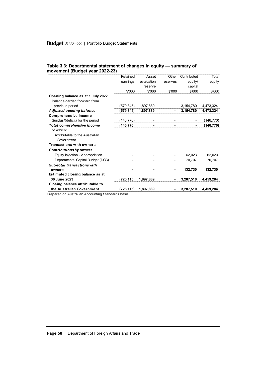|                                   | Retained  | Asset       | Other    | Contributed | Total     |
|-----------------------------------|-----------|-------------|----------|-------------|-----------|
|                                   | earnings  | revaluation | reserves | equity/     | equity    |
|                                   |           | reserve     |          | capital     |           |
|                                   | \$'000    | \$'000      | \$'000   | \$'000      | \$'000    |
| Opening balance as at 1 July 2022 |           |             |          |             |           |
| Balance carried forw ard from     |           |             |          |             |           |
| previous period                   | (579,345) | 1,897,889   |          | 3,154,780   | 4,473,324 |
| Adjusted opening balance          | (579,345) | 1,897,889   |          | 3,154,780   | 4,473,324 |
| Comprehensive income              |           |             |          |             |           |
| Surplus/(deficit) for the period  | (146,770) |             |          |             | (146,770) |
| Total comprehensive income        | (146,770) |             |          |             | (146,770) |
| of which:                         |           |             |          |             |           |
| Attributable to the Australian    |           |             |          |             |           |
| Government                        |           |             |          |             |           |
| <b>Transactions with owners</b>   |           |             |          |             |           |
| <b>Contributions by owners</b>    |           |             |          |             |           |
| Equity injection - Appropriation  |           |             |          | 62,023      | 62,023    |
| Departmental Capital Budget (DCB) |           |             |          | 70.707      | 70.707    |
| Sub-total transactions with       |           |             |          |             |           |
| owners                            |           |             |          | 132,730     | 132,730   |
| Estimated closing balance as at   |           |             |          |             |           |
| 30 June 2023                      | (726,115) | 1.897.889   |          | 3,287,510   | 4,459,284 |
| Closing balance attributable to   |           |             |          |             |           |
| the Australian Government         | (726,115) | 1.897.889   |          | 3,287,510   | 4.459.284 |
|                                   |           |             |          |             |           |

#### **Table 3.3: Departmental statement of changes in equity — summary of movement (Budget year 2022-23)**

Prepared on Australian Accounting Standards basis.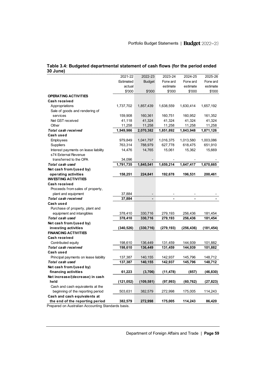|                                       | 2021-22    | 2022-23       | 2023-24    | 2024-25    | 2025-26   |
|---------------------------------------|------------|---------------|------------|------------|-----------|
|                                       | Estimated  | <b>Budget</b> | Forw ard   | Forw ard   | Forw ard  |
|                                       | actual     |               | estimate   | estimate   | estimate  |
|                                       | \$'000     | \$'000        | \$'000     | \$'000     | \$'000    |
| <b>OPERATING ACTIVITIES</b>           |            |               |            |            |           |
| Cash received                         |            |               |            |            |           |
| Appropriations                        | 1,737,702  | 1,857,439     | 1,638,559  | 1,630,414  | 1,657,192 |
| Sale of goods and rendering of        |            |               |            |            |           |
| services                              | 159,908    | 160,361       | 160,751    | 160,952    | 161,352   |
| Net GST received                      | 41,118     | 41,324        | 41,324     | 41,324     | 41,324    |
| Other                                 | 11,258     | 11,258        | 11,258     | 11,258     | 11,258    |
| Total cash received                   | 1,949,986  | 2,070,382     | 1,851,892  | 1,843,948  | 1,871,126 |
| Cash used                             |            |               |            |            |           |
| Employees                             | 979,849    | 1,041,797     | 1,016,375  | 1,013,580  | 1,003,086 |
| <b>Suppliers</b>                      | 763,314    | 788,979       | 627,778    | 618,475    | 651,910   |
| Interest payments on lease liability  | 14,476     | 14,765        | 15,061     | 15,362     | 15,669    |
| s74 External Revenue                  |            |               |            |            |           |
| transferred to the OPA                | 34,096     |               |            |            |           |
| Total cash used                       | 1,791,735  | 1,845,541     | 1,659,214  | 1,647,417  | 1,670,665 |
| Net cash from/(used by)               |            |               |            |            |           |
| operating activities                  | 158,251    | 224,841       | 192,678    | 196,531    | 200,461   |
| <b>INVESTING ACTIVITIES</b>           |            |               |            |            |           |
| Cash received                         |            |               |            |            |           |
| Proceeds from sales of property,      |            |               |            |            |           |
| plant and equipment                   | 37,884     |               |            |            |           |
| Total cash received                   | 37,884     |               |            |            |           |
| Cash used                             |            |               |            |            |           |
| Purchase of property, plant and       |            |               |            |            |           |
| equipment and intangibles             | 378,410    | 330,716       | 279,193    | 256,436    | 181,454   |
| Total cash used                       | 378,410    | 330,716       | 279,193    | 256,436    | 181,454   |
| Net cash from/(used by)               |            |               |            |            |           |
| investing activities                  | (340, 526) | (330, 716)    | (279, 193) | (256, 436) | (181,454) |
| <b>FINANCING ACTIVITIES</b>           |            |               |            |            |           |
| Cash received                         |            |               |            |            |           |
| Contributed equity                    | 198,610    | 136,449       | 131,459    | 144,939    | 101,882   |
| Total cash received                   | 198,610    | 136,449       | 131,459    | 144,939    | 101,882   |
| Cash used                             |            |               |            |            |           |
| Principal payments on lease liability | 137,387    | 140,155       | 142,937    | 145,796    | 148,712   |
| Total cash used                       | 137,387    | 140,155       | 142,937    | 145,796    | 148,712   |
| Net cash from/(used by)               |            |               |            |            |           |
| financing activities                  | 61,223     | (3,706)       | (11, 478)  | (857)      | (46, 830) |
| Net increase/(decrease) in cash       |            |               |            |            |           |
| held                                  | (121,052)  | (109, 581)    | (97, 993)  | (60, 762)  | (27,823)  |
| Cash and cash equivalents at the      |            |               |            |            |           |
| beginning of the reporting period     |            |               |            |            |           |
| Cash and cash equivalents at          | 503,631    | 382,579       | 272,998    | 175,005    | 114,243   |
| the end of the reporting period       |            | 272,998       | 175,005    | 114,243    | 86,420    |
|                                       | 382,579    |               |            |            |           |

#### **Table 3.4: Budgeted departmental statement of cash flows (for the period ended 30 June)**

Prepared on Australian Accounting Standards basis.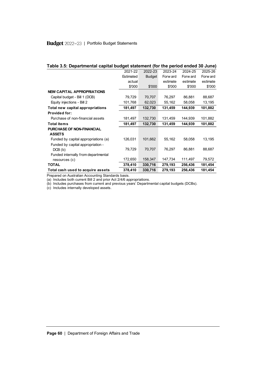|  |  | Table 3.5: Departmental capital budget statement (for the period ended 30 June) |
|--|--|---------------------------------------------------------------------------------|
|--|--|---------------------------------------------------------------------------------|

| Table 3.5: Departmental capital budget statement (for the period ended 30 June) |           |               |          |          |          |  |  |
|---------------------------------------------------------------------------------|-----------|---------------|----------|----------|----------|--|--|
|                                                                                 | 2021-22   | 2022-23       | 2023-24  | 2024-25  | 2025-26  |  |  |
|                                                                                 | Estimated | <b>Budget</b> | Forw ard | Forw ard | Forw ard |  |  |
|                                                                                 | actual    |               | estimate | estimate | estimate |  |  |
|                                                                                 | \$'000    | \$'000        | \$'000   | \$'000   | \$'000   |  |  |
| <b>NEW CAPITAL APPROPRIATIONS</b>                                               |           |               |          |          |          |  |  |
| Capital budget - Bill 1 (DCB)                                                   | 79,729    | 70,707        | 76,297   | 86,881   | 88.687   |  |  |
| Equity injections - Bill 2                                                      | 101,768   | 62,023        | 55,162   | 58,058   | 13,195   |  |  |
| Total new capital appropriations                                                | 181,497   | 132,730       | 131,459  | 144,939  | 101,882  |  |  |
| <b>Provided for:</b>                                                            |           |               |          |          |          |  |  |
| Purchase of non-financial assets                                                | 181,497   | 132,730       | 131,459  | 144,939  | 101,882  |  |  |
| <b>Total items</b>                                                              | 181,497   | 132,730       | 131,459  | 144,939  | 101,882  |  |  |
| PURCHASE OF NON-FINANCIAL                                                       |           |               |          |          |          |  |  |
| <b>ASSETS</b>                                                                   |           |               |          |          |          |  |  |
| Funded by capital appropriations (a)                                            | 126,031   | 101,662       | 55,162   | 58,058   | 13,195   |  |  |
| Funded by capital appropriation -                                               |           |               |          |          |          |  |  |
| DCB(b)                                                                          | 79,729    | 70,707        | 76,297   | 86,881   | 88,687   |  |  |
| Funded internally from departmental                                             |           |               |          |          |          |  |  |
| resources (c)                                                                   | 172,650   | 158,347       | 147,734  | 111,497  | 79,572   |  |  |
| <b>TOTAL</b>                                                                    | 378,410   | 330,716       | 279,193  | 256,436  | 181,454  |  |  |
| Total cash used to acquire assets                                               | 378,410   | 330,716       | 279,193  | 256,436  | 181,454  |  |  |

Prepared on Australian Accounting Standards basis.

(a) Includes both current Bill 2 and prior Act 2/4/6 appropriations.

(b) Includes purchases from current and previous years' Departmental capital budgets (DCBs).

(c) Includes internally developed assets.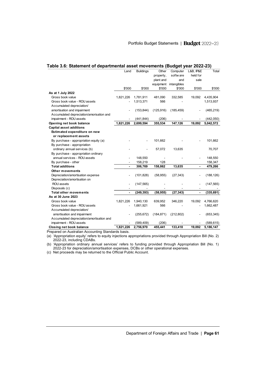|                                           | Land      | <b>Buildings</b> | Other      | Computer    | <b>L&amp;B, IP&amp;E</b> | Total      |
|-------------------------------------------|-----------|------------------|------------|-------------|--------------------------|------------|
|                                           |           |                  | property,  | softw are   | held for                 |            |
|                                           |           |                  | plant and  | and         | sale                     |            |
|                                           |           |                  | equipment  | intangibles |                          |            |
|                                           | \$'000    | \$'000           | \$'000     | \$'000      | \$'000                   | \$'000     |
| As at 1 July 2022                         |           |                  |            |             |                          |            |
| Gross book value                          | 1,821,226 | 1,781,911        | 481,090    | 332,585     | 19,092                   | 4,435,904  |
| Gross book value - ROU assets             |           | 1,513,371        | 566        |             |                          | 1,513,937  |
| Accumulated depreciation/                 |           |                  |            |             |                          |            |
| amortisation and impairment               |           | (153, 844)       | (125, 916) | (185, 459)  |                          | (465, 219) |
| Accumulated depreciation/amorisation and  |           |                  |            |             |                          |            |
| impairment - ROU assets                   |           | (441, 844)       | (206)      |             |                          | (442, 050) |
| Opening net book balance                  | 1,821,226 | 2,699,594        | 355,534    | 147,126     | 19,092                   | 5,042,572  |
| <b>Capital asset additions</b>            |           |                  |            |             |                          |            |
| Estimated expenditure on new              |           |                  |            |             |                          |            |
| or replacement assets                     |           |                  |            |             |                          |            |
| By purchase - appropriation equity (a)    |           |                  | 101,662    |             |                          | 101,662    |
| By purchase - appropriation               |           |                  |            |             |                          |            |
| ordinary annual services (b)              |           |                  | 57,072     | 13,635      |                          | 70,707     |
| By purchase - appropriation ordinary      |           |                  |            |             |                          |            |
| annual services - ROU assets              |           | 148,550          |            |             |                          | 148,550    |
| By purchase - other                       |           | 158,219          | 128        |             |                          | 158,347    |
| <b>Total additions</b>                    |           | 306,769          | 158,862    | 13,635      |                          | 479,266    |
| Other movements                           |           |                  |            |             |                          |            |
| Depreciation/amortisation expense         |           | (101, 828)       | (58, 955)  | (27, 343)   |                          | (188, 126) |
| Depreciation/amortisation on              |           |                  |            |             |                          |            |
| ROU assets                                |           | (147, 565)       |            |             |                          | (147, 565) |
| Disposals (c)                             |           |                  |            |             |                          |            |
| Total other movements                     |           | (249, 393)       | (58, 955)  | (27, 343)   |                          | (335, 691) |
| As at 30 June 2023                        |           |                  |            |             |                          |            |
| Gross book value                          | 1,821,226 | 1,940,130        | 639,952    | 346,220     | 19,092                   | 4,766,620  |
| Gross book value - ROU assets             |           | 1,661,921        | 566        |             |                          | 1,662,487  |
| Accumulated depreciation/                 |           |                  |            |             |                          |            |
| amortisation and impairment               |           | (255, 672)       | (184, 871) | (212, 802)  |                          | (653, 345) |
| Accumulated depreciation/amortisation and |           |                  |            |             |                          |            |
|                                           |           |                  |            |             |                          |            |
| impairment - ROU assets                   |           | (589, 409)       | (206)      |             |                          | (589, 615) |

Prepared on Australian Accounting Standards basis.

(a) 'Appropriation equity' refers to equity injections appropriations provided through Appropriation Bill (No. 2) 2022-23, including CDABs.

(b) 'Appropriation ordinary annual services' refers to funding provided through Appropriation Bill (No. 1) 2022-23 for depreciation/amortisation expenses, DCBs or other operational expenses.

(c) Net proceeds may be returned to the Official Public Account.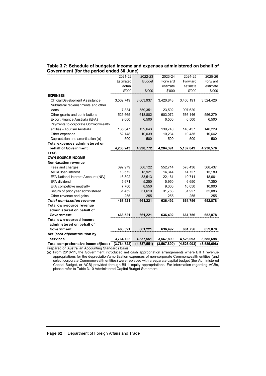#### **Table 3.7: Schedule of budgeted income and expenses administered on behalf of Government (for the period ended 30 June)**

| on . Ochodalo or paagotoa moonio and cxp<br>Government (for the period ended 30 June) |             |               |               |             |             |
|---------------------------------------------------------------------------------------|-------------|---------------|---------------|-------------|-------------|
|                                                                                       | 2021-22     | 2022-23       | 2023-24       | 2024-25     | 2025-26     |
|                                                                                       | Estimated   | <b>Budget</b> | Forw ard      | Forw ard    | Forw ard    |
|                                                                                       | actual      |               | estimate      | estimate    | estimate    |
|                                                                                       | \$'000      | \$'000        | \$'000        | \$'000      | \$'000      |
| <b>EXPENSES</b>                                                                       |             |               |               |             |             |
| Official Development Assistance                                                       | 3,502,749   | 3,663,937     | 3,420,843     | 3,466,191   | 3,524,426   |
| Multilateral replenishments and other                                                 |             |               |               |             |             |
| loans                                                                                 | 7,834       | 559,351       | 23,502        | 997,620     |             |
| Other grants and contributions                                                        | 525,665     | 618,802       | 603,072       | 566,146     | 556,279     |
| Export Finance Australia (EFA)                                                        | 9,000       | 6,500         | 6,500         | 6,500       | 6,500       |
| Payments to corporate Commonw ealth                                                   |             |               |               |             |             |
| entities - Tourism Australia                                                          | 135,347     | 139,643       | 139,740       | 140,457     | 140,229     |
| Other expenses                                                                        | 52,148      | 10,039        | 10,234        | 10,435      | 10,642      |
| Depreciation and amortisation (a)                                                     | 500         | 500           | 500           | 500         | 500         |
| Total expenses administered on                                                        |             |               |               |             |             |
| behalf of Government                                                                  | 4,233,243   | 4,998,772     | 4,204,391     | 5,187,849   | 4,238,576   |
| LESS:                                                                                 |             |               |               |             |             |
| <b>OWN-SOURCE INCOME</b>                                                              |             |               |               |             |             |
| Non-taxation revenue                                                                  |             |               |               |             |             |
| Fees and charges                                                                      | 392,979     | 568,122       | 552,714       | 578,436     | 568,437     |
| AIPRD loan interest                                                                   | 13,572      | 13,921        | 14,344        | 14,727      | 15,189      |
| EFA National Interest Account (NIA)                                                   | 16,892      | 33,513        | 22,161        | 19,711      | 18,661      |
| EFA dividend                                                                          | 5,671       | 5,250         | 5,950         | 6,650       | 7,350       |
| EFA competitive neutrality                                                            | 7,700       | 8,550         | 9,300         | 10,050      | 10,900      |
| Return of prior year administered                                                     | 31,452      | 31,610        | 31,768        | 31,927      | 32,086      |
| Other revenue and gains                                                               | 255         | 255           | 255           | 255         | 255         |
| <b>Total non-taxation revenue</b>                                                     | 468,521     | 661,221       | 636,492       | 661,756     | 652,878     |
| Total own-source revenue                                                              |             |               |               |             |             |
| administered on behalf of                                                             |             |               |               |             |             |
| Government                                                                            | 468,521     | 661,221       | 636,492       | 661,756     | 652,878     |
| Total own-sourced income                                                              |             |               |               |             |             |
| administered on behalf of                                                             |             |               |               |             |             |
| Government                                                                            | 468,521     | 661,221       | 636,492       | 661,756     | 652,878     |
| Net (cost of)/contribution by                                                         |             |               |               |             |             |
| services                                                                              | 3,764,722   | 4,337,551     | 3,567,899     | 4,526,093   | 3,585,698   |
| Total comprehensive income/(loss)                                                     | (3,764,722) | (4, 337, 551) | (3, 567, 899) | (4,526,093) | (3,585,698) |

Prepared on Australian Accounting Standards basis.

(a) From 2010-11, the Government introduced net cash appropriation arrangements where Bill 1 revenue appropriations for the depreciation/amortisation expenses of non-corporate Commonwealth entities (and select corporate Commonwealth entities) were replaced with a separate capital budget (the Administered Capital Budget, or ACB) provided through Bill 1 equity appropriations. For information regarding ACBs, please refer to Table 3.10 Administered Capital Budget Statement.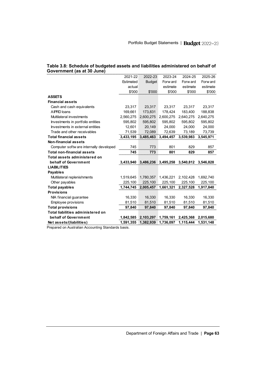| Table 3.8: Schedule of budgeted assets and liabilities administered on behalf of |  |
|----------------------------------------------------------------------------------|--|
| Government (as at 30 June)                                                       |  |

| Government (as at 30 June)              |           |               |           |           |           |
|-----------------------------------------|-----------|---------------|-----------|-----------|-----------|
|                                         | 2021-22   | 2022-23       | 2023-24   | 2024-25   | 2025-26   |
|                                         | Estimated | <b>Budget</b> | Forw ard  | Forw ard  | Forw ard  |
|                                         | actual    |               | estimate  | estimate  | estimate  |
|                                         | \$'000    | \$'000        | \$'000    | \$'000    | \$'000    |
| <b>ASSETS</b>                           |           |               |           |           |           |
| <b>Financial assets</b>                 |           |               |           |           |           |
| Cash and cash equivalents               | 23,317    | 23,317        | 23,317    | 23,317    | 23,317    |
| A IPRD loans                            | 169,661   | 173,831       | 178,424   | 183,400   | 188,838   |
| Multilateral investments                | 2,560,275 | 2,600,275     | 2,600,275 | 2,640,275 | 2,640,275 |
| Investments in portfolio entities       | 595.802   | 595,802       | 595,802   | 595,802   | 595,802   |
| Investments in external entities        | 12.601    | 20,149        | 24.000    | 24.000    | 24,000    |
| Trade and other receivables             | 71,539    | 72,089        | 72,639    | 73,189    | 73,739    |
| <b>Total financial assets</b>           | 3,433,195 | 3,485,463     | 3,494,457 | 3,539,983 | 3,545,971 |
| <b>Non-financial assets</b>             |           |               |           |           |           |
| Computer softw are internally developed | 745       | 773           | 801       | 829       | 857       |
| <b>Total non-financial assets</b>       | 745       | 773           | 801       | 829       | 857       |
| Total assets administered on            |           |               |           |           |           |
| behalf of Government                    | 3,433,940 | 3,486,236     | 3,495,258 | 3,540,812 | 3,546,828 |
| <b>LIABILITIES</b>                      |           |               |           |           |           |
| <b>Payables</b>                         |           |               |           |           |           |
| Multilateral replenishments             | 1,519,645 | 1,780,357     | 1,436,221 | 2,102,428 | 1,692,740 |
| Other payables                          | 225,100   | 225,100       | 225,100   | 225,100   | 225,100   |
| <b>Total payables</b>                   | 1,744,745 | 2,005,457     | 1,661,321 | 2,327,528 | 1,917,840 |
| <b>Provisions</b>                       |           |               |           |           |           |
| NIA financial guarantee                 | 16,330    | 16,330        | 16,330    | 16,330    | 16,330    |
| Employee provisions                     | 81.510    | 81,510        | 81,510    | 81,510    | 81,510    |
| <b>Total provisions</b>                 | 97,840    | 97,840        | 97,840    | 97,840    | 97,840    |
| Total liabilities administered on       |           |               |           |           |           |
| behalf of Government                    | 1,842,585 | 2,103,297     | 1,759,161 | 2,425,368 | 2,015,680 |
| Net assets/(liabilities)                | 1,591,355 | 1,382,939     | 1,736,097 | 1,115,444 | 1,531,148 |

**Prepared on Australian Accounting Standards basis.**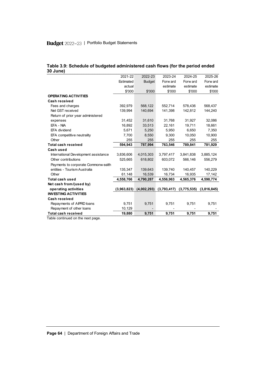| սցսա        |                                          |                                    |                                               |                                                              |
|-------------|------------------------------------------|------------------------------------|-----------------------------------------------|--------------------------------------------------------------|
|             |                                          |                                    |                                               | 2025-26                                                      |
|             |                                          |                                    |                                               | Forw ard                                                     |
|             |                                          |                                    |                                               | estimate                                                     |
|             |                                          |                                    |                                               | \$'000                                                       |
|             |                                          |                                    |                                               |                                                              |
|             |                                          |                                    |                                               |                                                              |
| 392,979     | 568,122                                  | 552,714                            | 578,436                                       | 568,437                                                      |
| 139,994     | 140,694                                  | 141,398                            | 142,812                                       | 144,240                                                      |
|             |                                          |                                    |                                               |                                                              |
| 31,452      | 31,610                                   | 31,768                             | 31,927                                        | 32,086                                                       |
| 16,892      | 33,513                                   | 22,161                             | 19,711                                        | 18,661                                                       |
| 5,671       | 5,250                                    | 5,950                              | 6,650                                         | 7,350                                                        |
| 7,700       | 8,550                                    | 9,300                              | 10,050                                        | 10,900                                                       |
| 255         | 255                                      | 255                                | 255                                           | 255                                                          |
| 594,943     | 787,994                                  | 763,546                            | 789,841                                       | 781,929                                                      |
|             |                                          |                                    |                                               |                                                              |
| 3,836,606   | 4,015,303                                | 3,797,417                          | 3,841,838                                     | 3,885,124                                                    |
| 525,665     | 618,802                                  | 603,072                            | 566,146                                       | 556,279                                                      |
|             |                                          |                                    |                                               |                                                              |
| 135,347     | 139,643                                  | 139.740                            | 140,457                                       | 140,229                                                      |
| 61,148      | 16,539                                   | 16,734                             | 16,935                                        | 17,142                                                       |
| 4,558,766   | 4,790,287                                | 4,556,963                          | 4,565,376                                     | 4,598,774                                                    |
|             |                                          |                                    |                                               |                                                              |
| (3,963,823) | (4,002,293)                              | (3,793,417)                        | (3,775,535)                                   | (3,816,845)                                                  |
|             |                                          |                                    |                                               |                                                              |
|             |                                          |                                    |                                               |                                                              |
| 9,751       | 9,751                                    | 9,751                              | 9,751                                         | 9,751                                                        |
| 10,129      |                                          |                                    |                                               |                                                              |
| 19,880      | 9,751                                    | 9,751                              | 9,751                                         | 9,751                                                        |
|             | 2021-22<br>Estimated<br>actual<br>\$'000 | 2022-23<br><b>Budget</b><br>\$'000 | <br>2023-24<br>Forw ard<br>estimate<br>\$'000 | <b>THE PAIR</b><br>2024-25<br>Forw ard<br>estimate<br>\$'000 |

#### **Table 3.9: Schedule of budgeted administered cash flows (for the period ended 30 June)**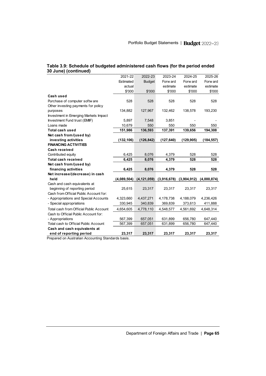| 30 June) (continued)                    |             |               |             |             |             |
|-----------------------------------------|-------------|---------------|-------------|-------------|-------------|
|                                         | 2021-22     | 2022-23       | 2023-24     | 2024-25     | 2025-26     |
|                                         | Estimated   | <b>Budget</b> | Forw ard    | Forw ard    | Forw ard    |
|                                         | actual      |               | estimate    | estimate    | estimate    |
|                                         | \$'000      | \$'000        | \$'000      | \$'000      | \$'000      |
| Cash used                               |             |               |             |             |             |
| Purchase of computer softw are          | 528         | 528           | 528         | 528         | 528         |
| Other investing payments for policy     |             |               |             |             |             |
| purposes                                | 134,882     | 127,967       | 132,462     | 138,578     | 193,230     |
| Investment in Emerging Markets Impact   |             |               |             |             |             |
| Investment Fund trust (EMIIF)           | 5,897       | 7,548         | 3,851       |             |             |
| Loans made                              | 10,679      | 550           | 550         | 550         | 550         |
| Total cash used                         | 151,986     | 136,593       | 137,391     | 139,656     | 194,308     |
| Net cash from/(used by)                 |             |               |             |             |             |
| investing activities                    | (132, 106)  | (126, 842)    | (127, 640)  | (129,905)   | (184,557)   |
| <b>FINANCING ACTIVITIES</b>             |             |               |             |             |             |
| <b>Cash received</b>                    |             |               |             |             |             |
| Contributed equity                      | 6.425       | 8,076         | 4.379       | 528         | 528         |
| <b>Total cash received</b>              | 6,425       | 8,076         | 4,379       | 528         | 528         |
| Net cash from/(used by)                 |             |               |             |             |             |
| financing activities                    | 6,425       | 8,076         | 4,379       | 528         | 528         |
| Net increase/(decrease) in cash         |             |               |             |             |             |
| held                                    | (4,089,504) | (4, 121, 059) | (3,916,678) | (3,904,912) | (4,000,874) |
| Cash and cash equivalents at            |             |               |             |             |             |
| beginning of reporting period           | 25,615      | 23,317        | 23,317      | 23,317      | 23,317      |
| Cash from Official Public Account for:  |             |               |             |             |             |
| - Appropriations and Special Accounts   | 4,323,660   | 4,437,271     | 4,178,738   | 4,188,079   | 4,236,426   |
| - Special appropriations                | 330,945     | 340,839       | 369,839     | 373,613     | 411,888     |
| Total cash from Official Public Account | 4,654,605   | 4,778,110     | 4,548,577   | 4,561,692   | 4,648,314   |
| Cash to Official Public Account for:    |             |               |             |             |             |
| - Appropriations                        | 567,399     | 657,051       | 631,899     | 656,780     | 647,440     |
| Total cash to Official Public Account   | 567,399     | 657,051       | 631,899     | 656,780     | 647,440     |
| Cash and cash equivalents at            |             |               |             |             |             |
| end of reporting period                 | 23,317      | 23,317        | 23,317      | 23.317      | 23,317      |

# **Table 3.9: Schedule of budgeted administered cash flows (for the period ended**

**Prepared on Australian Accounting Standards basis.**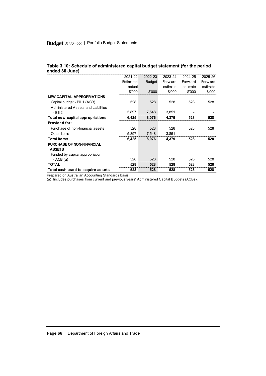# Budget 2022-23 | Portfolio Budget Statements

| Table 3.10: Schedule of administered capital budget statement (for the period |  |
|-------------------------------------------------------------------------------|--|
| ended 30 June)                                                                |  |

| ended 30 June)                      |           |               |          |          |          |
|-------------------------------------|-----------|---------------|----------|----------|----------|
|                                     | 2021-22   | 2022-23       | 2023-24  | 2024-25  | 2025-26  |
|                                     | Estimated | <b>Budget</b> | Forw ard | Forw ard | Forw ard |
|                                     | actual    |               | estimate | estimate | estimate |
|                                     | \$'000    | \$'000        | \$'000   | \$'000   | \$'000   |
| <b>NEW CAPITAL APPROPRIATIONS</b>   |           |               |          |          |          |
| Capital budget - Bill 1 (ACB)       | 528       | 528           | 528      | 528      | 528      |
| Administered Assets and Liabilities |           |               |          |          |          |
| $-$ Bill 2                          | 5,897     | 7,548         | 3,851    |          |          |
| Total new capital appropriations    | 6,425     | 8,076         | 4,379    | 528      | 528      |
| <b>Provided for:</b>                |           |               |          |          |          |
| Purchase of non-financial assets    | 528       | 528           | 528      | 528      | 528      |
| Other Items                         | 5,897     | 7.548         | 3,851    |          |          |
| <b>Total items</b>                  | 6,425     | 8.076         | 4,379    | 528      | 528      |
| <b>PURCHASE OF NON-FINANCIAL</b>    |           |               |          |          |          |
| <b>ASSETS</b>                       |           |               |          |          |          |
| Funded by capital appropriation     |           |               |          |          |          |
| - ACB $(a)$                         | 528       | 528           | 528      | 528      | 528      |
| <b>TOTAL</b>                        | 528       | 528           | 528      | 528      | 528      |
| Total cash used to acquire assets   | 528       | 528           | 528      | 528      | 528      |
|                                     |           |               |          |          |          |

Prepared on Australian Accounting Standards basis.

(a) Includes purchases from current and previous years' Administered Capital Budgets (ACBs).